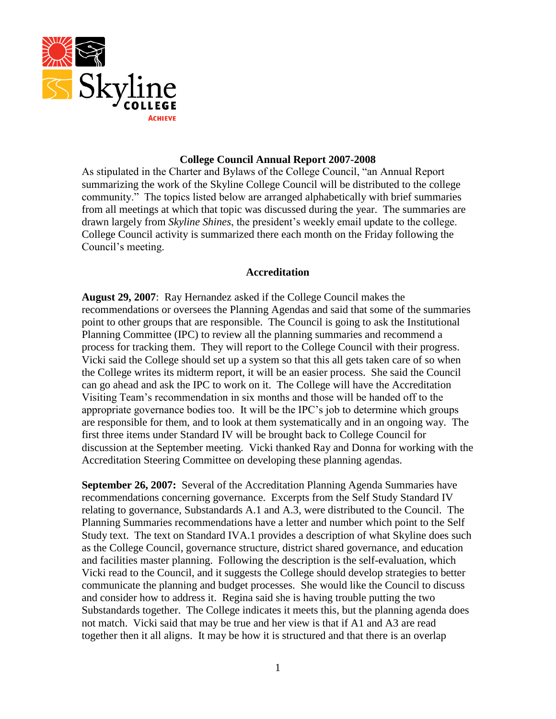

### **College Council Annual Report 2007-2008**

As stipulated in the Charter and Bylaws of the College Council, "an Annual Report summarizing the work of the Skyline College Council will be distributed to the college community." The topics listed below are arranged alphabetically with brief summaries from all meetings at which that topic was discussed during the year. The summaries are drawn largely from *Skyline Shines*, the president's weekly email update to the college. College Council activity is summarized there each month on the Friday following the Council's meeting.

# **Accreditation**

**August 29, 2007**: Ray Hernandez asked if the College Council makes the recommendations or oversees the Planning Agendas and said that some of the summaries point to other groups that are responsible. The Council is going to ask the Institutional Planning Committee (IPC) to review all the planning summaries and recommend a process for tracking them. They will report to the College Council with their progress. Vicki said the College should set up a system so that this all gets taken care of so when the College writes its midterm report, it will be an easier process. She said the Council can go ahead and ask the IPC to work on it. The College will have the Accreditation Visiting Team's recommendation in six months and those will be handed off to the appropriate governance bodies too. It will be the IPC's job to determine which groups are responsible for them, and to look at them systematically and in an ongoing way. The first three items under Standard IV will be brought back to College Council for discussion at the September meeting. Vicki thanked Ray and Donna for working with the Accreditation Steering Committee on developing these planning agendas.

**September 26, 2007:** Several of the Accreditation Planning Agenda Summaries have recommendations concerning governance. Excerpts from the Self Study Standard IV relating to governance, Substandards A.1 and A.3, were distributed to the Council. The Planning Summaries recommendations have a letter and number which point to the Self Study text. The text on Standard IVA.1 provides a description of what Skyline does such as the College Council, governance structure, district shared governance, and education and facilities master planning. Following the description is the self-evaluation, which Vicki read to the Council, and it suggests the College should develop strategies to better communicate the planning and budget processes. She would like the Council to discuss and consider how to address it. Regina said she is having trouble putting the two Substandards together. The College indicates it meets this, but the planning agenda does not match. Vicki said that may be true and her view is that if A1 and A3 are read together then it all aligns. It may be how it is structured and that there is an overlap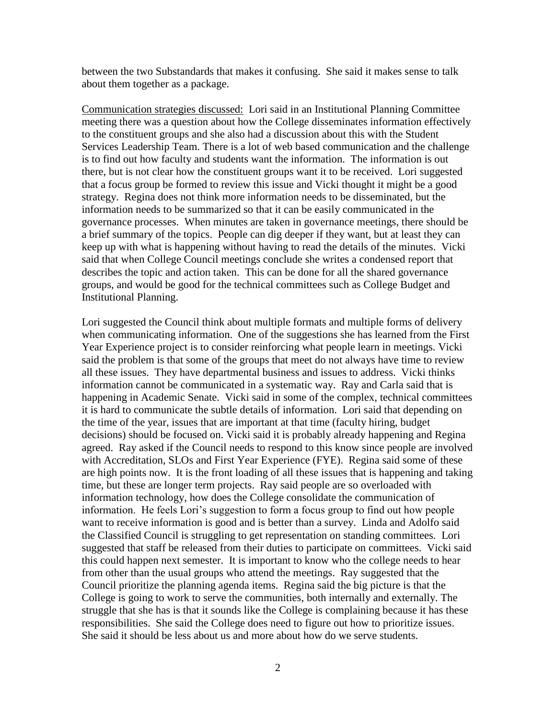between the two Substandards that makes it confusing. She said it makes sense to talk about them together as a package.

Communication strategies discussed: Lori said in an Institutional Planning Committee meeting there was a question about how the College disseminates information effectively to the constituent groups and she also had a discussion about this with the Student Services Leadership Team. There is a lot of web based communication and the challenge is to find out how faculty and students want the information. The information is out there, but is not clear how the constituent groups want it to be received. Lori suggested that a focus group be formed to review this issue and Vicki thought it might be a good strategy. Regina does not think more information needs to be disseminated, but the information needs to be summarized so that it can be easily communicated in the governance processes. When minutes are taken in governance meetings, there should be a brief summary of the topics. People can dig deeper if they want, but at least they can keep up with what is happening without having to read the details of the minutes. Vicki said that when College Council meetings conclude she writes a condensed report that describes the topic and action taken. This can be done for all the shared governance groups, and would be good for the technical committees such as College Budget and Institutional Planning.

Lori suggested the Council think about multiple formats and multiple forms of delivery when communicating information. One of the suggestions she has learned from the First Year Experience project is to consider reinforcing what people learn in meetings. Vicki said the problem is that some of the groups that meet do not always have time to review all these issues. They have departmental business and issues to address. Vicki thinks information cannot be communicated in a systematic way. Ray and Carla said that is happening in Academic Senate. Vicki said in some of the complex, technical committees it is hard to communicate the subtle details of information. Lori said that depending on the time of the year, issues that are important at that time (faculty hiring, budget decisions) should be focused on. Vicki said it is probably already happening and Regina agreed. Ray asked if the Council needs to respond to this know since people are involved with Accreditation, SLOs and First Year Experience (FYE). Regina said some of these are high points now. It is the front loading of all these issues that is happening and taking time, but these are longer term projects. Ray said people are so overloaded with information technology, how does the College consolidate the communication of information. He feels Lori's suggestion to form a focus group to find out how people want to receive information is good and is better than a survey. Linda and Adolfo said the Classified Council is struggling to get representation on standing committees. Lori suggested that staff be released from their duties to participate on committees. Vicki said this could happen next semester. It is important to know who the college needs to hear from other than the usual groups who attend the meetings. Ray suggested that the Council prioritize the planning agenda items. Regina said the big picture is that the College is going to work to serve the communities, both internally and externally. The struggle that she has is that it sounds like the College is complaining because it has these responsibilities. She said the College does need to figure out how to prioritize issues. She said it should be less about us and more about how do we serve students.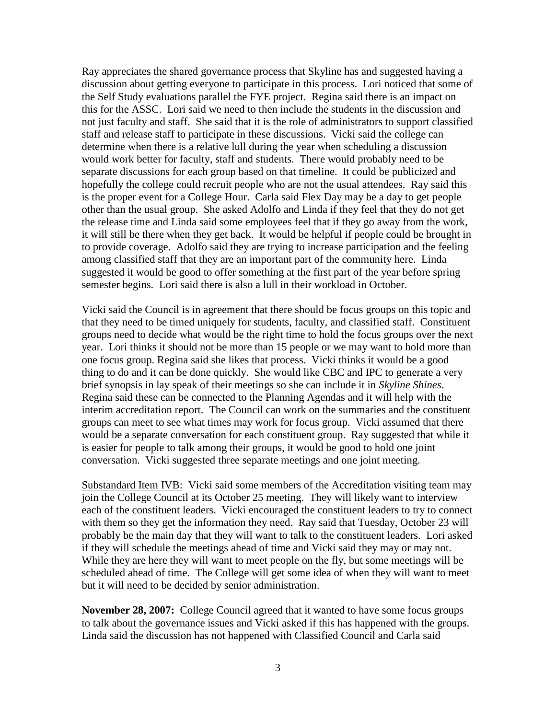Ray appreciates the shared governance process that Skyline has and suggested having a discussion about getting everyone to participate in this process. Lori noticed that some of the Self Study evaluations parallel the FYE project. Regina said there is an impact on this for the ASSC. Lori said we need to then include the students in the discussion and not just faculty and staff. She said that it is the role of administrators to support classified staff and release staff to participate in these discussions. Vicki said the college can determine when there is a relative lull during the year when scheduling a discussion would work better for faculty, staff and students. There would probably need to be separate discussions for each group based on that timeline. It could be publicized and hopefully the college could recruit people who are not the usual attendees. Ray said this is the proper event for a College Hour. Carla said Flex Day may be a day to get people other than the usual group. She asked Adolfo and Linda if they feel that they do not get the release time and Linda said some employees feel that if they go away from the work, it will still be there when they get back. It would be helpful if people could be brought in to provide coverage. Adolfo said they are trying to increase participation and the feeling among classified staff that they are an important part of the community here. Linda suggested it would be good to offer something at the first part of the year before spring semester begins. Lori said there is also a lull in their workload in October.

Vicki said the Council is in agreement that there should be focus groups on this topic and that they need to be timed uniquely for students, faculty, and classified staff. Constituent groups need to decide what would be the right time to hold the focus groups over the next year. Lori thinks it should not be more than 15 people or we may want to hold more than one focus group. Regina said she likes that process. Vicki thinks it would be a good thing to do and it can be done quickly. She would like CBC and IPC to generate a very brief synopsis in lay speak of their meetings so she can include it in *Skyline Shines*. Regina said these can be connected to the Planning Agendas and it will help with the interim accreditation report. The Council can work on the summaries and the constituent groups can meet to see what times may work for focus group. Vicki assumed that there would be a separate conversation for each constituent group. Ray suggested that while it is easier for people to talk among their groups, it would be good to hold one joint conversation. Vicki suggested three separate meetings and one joint meeting.

Substandard Item IVB: Vicki said some members of the Accreditation visiting team may join the College Council at its October 25 meeting. They will likely want to interview each of the constituent leaders. Vicki encouraged the constituent leaders to try to connect with them so they get the information they need. Ray said that Tuesday, October 23 will probably be the main day that they will want to talk to the constituent leaders. Lori asked if they will schedule the meetings ahead of time and Vicki said they may or may not. While they are here they will want to meet people on the fly, but some meetings will be scheduled ahead of time. The College will get some idea of when they will want to meet but it will need to be decided by senior administration.

**November 28, 2007:** College Council agreed that it wanted to have some focus groups to talk about the governance issues and Vicki asked if this has happened with the groups. Linda said the discussion has not happened with Classified Council and Carla said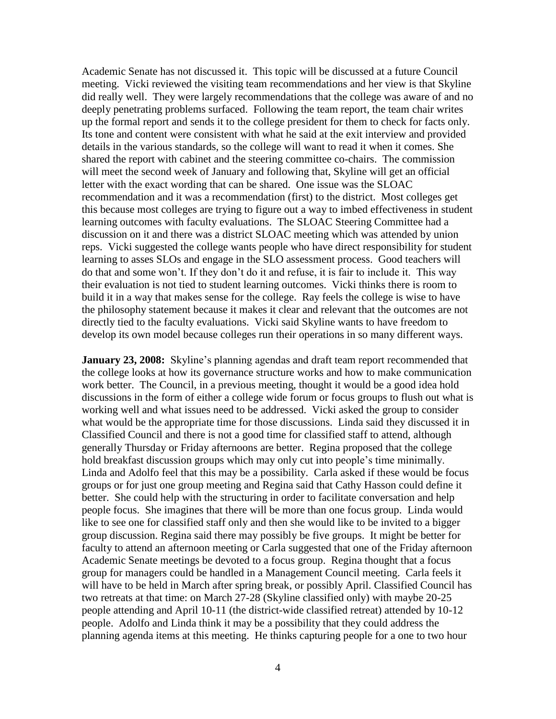Academic Senate has not discussed it. This topic will be discussed at a future Council meeting. Vicki reviewed the visiting team recommendations and her view is that Skyline did really well. They were largely recommendations that the college was aware of and no deeply penetrating problems surfaced. Following the team report, the team chair writes up the formal report and sends it to the college president for them to check for facts only. Its tone and content were consistent with what he said at the exit interview and provided details in the various standards, so the college will want to read it when it comes. She shared the report with cabinet and the steering committee co-chairs. The commission will meet the second week of January and following that, Skyline will get an official letter with the exact wording that can be shared. One issue was the SLOAC recommendation and it was a recommendation (first) to the district. Most colleges get this because most colleges are trying to figure out a way to imbed effectiveness in student learning outcomes with faculty evaluations. The SLOAC Steering Committee had a discussion on it and there was a district SLOAC meeting which was attended by union reps. Vicki suggested the college wants people who have direct responsibility for student learning to asses SLOs and engage in the SLO assessment process. Good teachers will do that and some won't. If they don't do it and refuse, it is fair to include it. This way their evaluation is not tied to student learning outcomes. Vicki thinks there is room to build it in a way that makes sense for the college. Ray feels the college is wise to have the philosophy statement because it makes it clear and relevant that the outcomes are not directly tied to the faculty evaluations. Vicki said Skyline wants to have freedom to develop its own model because colleges run their operations in so many different ways.

**January 23, 2008:** Skyline's planning agendas and draft team report recommended that the college looks at how its governance structure works and how to make communication work better. The Council, in a previous meeting, thought it would be a good idea hold discussions in the form of either a college wide forum or focus groups to flush out what is working well and what issues need to be addressed. Vicki asked the group to consider what would be the appropriate time for those discussions. Linda said they discussed it in Classified Council and there is not a good time for classified staff to attend, although generally Thursday or Friday afternoons are better. Regina proposed that the college hold breakfast discussion groups which may only cut into people's time minimally. Linda and Adolfo feel that this may be a possibility. Carla asked if these would be focus groups or for just one group meeting and Regina said that Cathy Hasson could define it better. She could help with the structuring in order to facilitate conversation and help people focus. She imagines that there will be more than one focus group. Linda would like to see one for classified staff only and then she would like to be invited to a bigger group discussion. Regina said there may possibly be five groups. It might be better for faculty to attend an afternoon meeting or Carla suggested that one of the Friday afternoon Academic Senate meetings be devoted to a focus group. Regina thought that a focus group for managers could be handled in a Management Council meeting. Carla feels it will have to be held in March after spring break, or possibly April. Classified Council has two retreats at that time: on March 27-28 (Skyline classified only) with maybe 20-25 people attending and April 10-11 (the district-wide classified retreat) attended by 10-12 people. Adolfo and Linda think it may be a possibility that they could address the planning agenda items at this meeting. He thinks capturing people for a one to two hour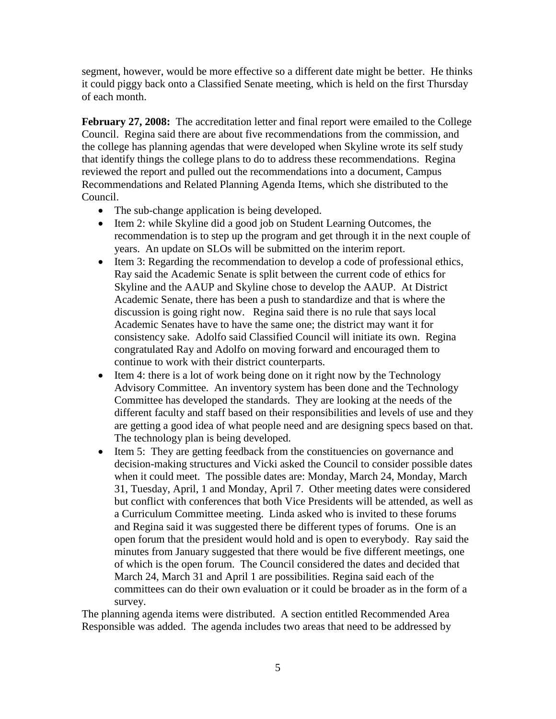segment, however, would be more effective so a different date might be better. He thinks it could piggy back onto a Classified Senate meeting, which is held on the first Thursday of each month.

**February 27, 2008:** The accreditation letter and final report were emailed to the College Council. Regina said there are about five recommendations from the commission, and the college has planning agendas that were developed when Skyline wrote its self study that identify things the college plans to do to address these recommendations. Regina reviewed the report and pulled out the recommendations into a document, Campus Recommendations and Related Planning Agenda Items, which she distributed to the Council.

- The sub-change application is being developed.
- Item 2: while Skyline did a good job on Student Learning Outcomes, the recommendation is to step up the program and get through it in the next couple of years. An update on SLOs will be submitted on the interim report.
- Item 3: Regarding the recommendation to develop a code of professional ethics, Ray said the Academic Senate is split between the current code of ethics for Skyline and the AAUP and Skyline chose to develop the AAUP. At District Academic Senate, there has been a push to standardize and that is where the discussion is going right now. Regina said there is no rule that says local Academic Senates have to have the same one; the district may want it for consistency sake. Adolfo said Classified Council will initiate its own. Regina congratulated Ray and Adolfo on moving forward and encouraged them to continue to work with their district counterparts.
- Item 4: there is a lot of work being done on it right now by the Technology Advisory Committee. An inventory system has been done and the Technology Committee has developed the standards. They are looking at the needs of the different faculty and staff based on their responsibilities and levels of use and they are getting a good idea of what people need and are designing specs based on that. The technology plan is being developed.
- Item 5: They are getting feedback from the constituencies on governance and decision-making structures and Vicki asked the Council to consider possible dates when it could meet. The possible dates are: Monday, March 24, Monday, March 31, Tuesday, April, 1 and Monday, April 7. Other meeting dates were considered but conflict with conferences that both Vice Presidents will be attended, as well as a Curriculum Committee meeting. Linda asked who is invited to these forums and Regina said it was suggested there be different types of forums. One is an open forum that the president would hold and is open to everybody. Ray said the minutes from January suggested that there would be five different meetings, one of which is the open forum. The Council considered the dates and decided that March 24, March 31 and April 1 are possibilities. Regina said each of the committees can do their own evaluation or it could be broader as in the form of a survey.

The planning agenda items were distributed. A section entitled Recommended Area Responsible was added. The agenda includes two areas that need to be addressed by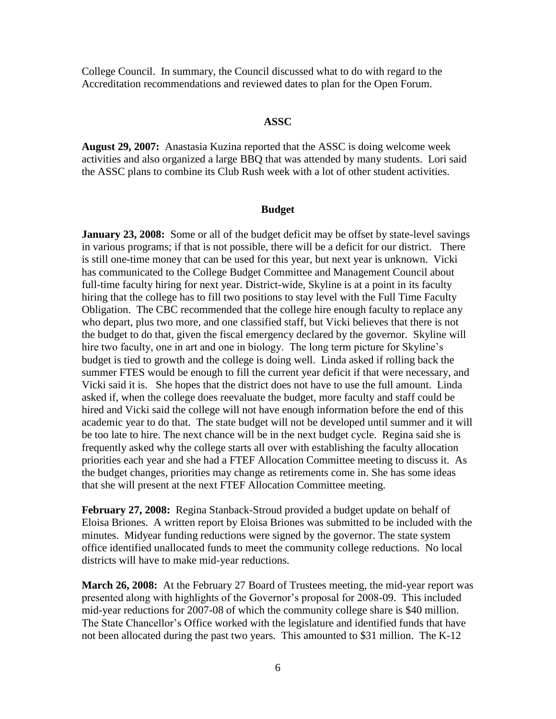College Council. In summary, the Council discussed what to do with regard to the Accreditation recommendations and reviewed dates to plan for the Open Forum.

# **ASSC**

**August 29, 2007:** Anastasia Kuzina reported that the ASSC is doing welcome week activities and also organized a large BBQ that was attended by many students. Lori said the ASSC plans to combine its Club Rush week with a lot of other student activities.

### **Budget**

**January 23, 2008:** Some or all of the budget deficit may be offset by state-level savings in various programs; if that is not possible, there will be a deficit for our district. There is still one-time money that can be used for this year, but next year is unknown. Vicki has communicated to the College Budget Committee and Management Council about full-time faculty hiring for next year. District-wide, Skyline is at a point in its faculty hiring that the college has to fill two positions to stay level with the Full Time Faculty Obligation. The CBC recommended that the college hire enough faculty to replace any who depart, plus two more, and one classified staff, but Vicki believes that there is not the budget to do that, given the fiscal emergency declared by the governor. Skyline will hire two faculty, one in art and one in biology. The long term picture for Skyline's budget is tied to growth and the college is doing well. Linda asked if rolling back the summer FTES would be enough to fill the current year deficit if that were necessary, and Vicki said it is. She hopes that the district does not have to use the full amount. Linda asked if, when the college does reevaluate the budget, more faculty and staff could be hired and Vicki said the college will not have enough information before the end of this academic year to do that. The state budget will not be developed until summer and it will be too late to hire. The next chance will be in the next budget cycle. Regina said she is frequently asked why the college starts all over with establishing the faculty allocation priorities each year and she had a FTEF Allocation Committee meeting to discuss it. As the budget changes, priorities may change as retirements come in. She has some ideas that she will present at the next FTEF Allocation Committee meeting.

**February 27, 2008:** Regina Stanback-Stroud provided a budget update on behalf of Eloisa Briones. A written report by Eloisa Briones was submitted to be included with the minutes. Midyear funding reductions were signed by the governor. The state system office identified unallocated funds to meet the community college reductions. No local districts will have to make mid-year reductions.

**March 26, 2008:** At the February 27 Board of Trustees meeting, the mid-year report was presented along with highlights of the Governor's proposal for 2008-09. This included mid-year reductions for 2007-08 of which the community college share is \$40 million. The State Chancellor's Office worked with the legislature and identified funds that have not been allocated during the past two years. This amounted to \$31 million. The K-12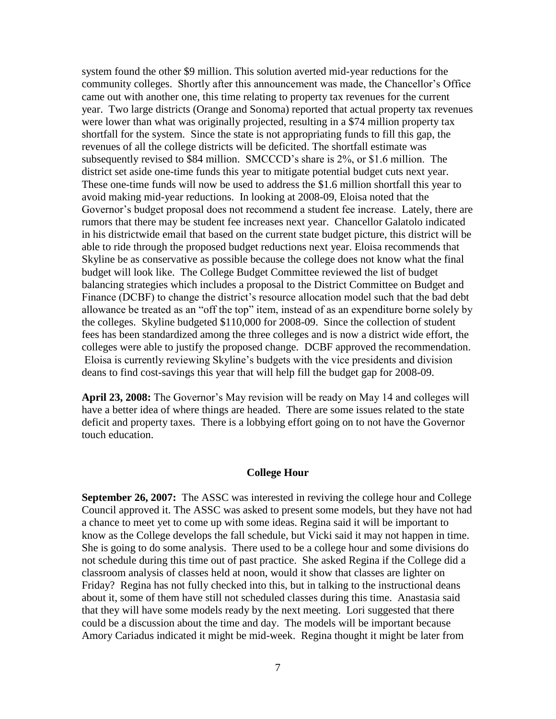system found the other \$9 million. This solution averted mid-year reductions for the community colleges. Shortly after this announcement was made, the Chancellor's Office came out with another one, this time relating to property tax revenues for the current year. Two large districts (Orange and Sonoma) reported that actual property tax revenues were lower than what was originally projected, resulting in a \$74 million property tax shortfall for the system. Since the state is not appropriating funds to fill this gap, the revenues of all the college districts will be deficited. The shortfall estimate was subsequently revised to \$84 million. SMCCCD's share is 2%, or \$1.6 million. The district set aside one-time funds this year to mitigate potential budget cuts next year. These one-time funds will now be used to address the \$1.6 million shortfall this year to avoid making mid-year reductions. In looking at 2008-09, Eloisa noted that the Governor's budget proposal does not recommend a student fee increase. Lately, there are rumors that there may be student fee increases next year. Chancellor Galatolo indicated in his districtwide email that based on the current state budget picture, this district will be able to ride through the proposed budget reductions next year. Eloisa recommends that Skyline be as conservative as possible because the college does not know what the final budget will look like. The College Budget Committee reviewed the list of budget balancing strategies which includes a proposal to the District Committee on Budget and Finance (DCBF) to change the district's resource allocation model such that the bad debt allowance be treated as an "off the top" item, instead of as an expenditure borne solely by the colleges. Skyline budgeted \$110,000 for 2008-09. Since the collection of student fees has been standardized among the three colleges and is now a district wide effort, the colleges were able to justify the proposed change. DCBF approved the recommendation. Eloisa is currently reviewing Skyline's budgets with the vice presidents and division deans to find cost-savings this year that will help fill the budget gap for 2008-09.

**April 23, 2008:** The Governor's May revision will be ready on May 14 and colleges will have a better idea of where things are headed. There are some issues related to the state deficit and property taxes. There is a lobbying effort going on to not have the Governor touch education.

#### **College Hour**

**September 26, 2007:** The ASSC was interested in reviving the college hour and College Council approved it. The ASSC was asked to present some models, but they have not had a chance to meet yet to come up with some ideas. Regina said it will be important to know as the College develops the fall schedule, but Vicki said it may not happen in time. She is going to do some analysis. There used to be a college hour and some divisions do not schedule during this time out of past practice. She asked Regina if the College did a classroom analysis of classes held at noon, would it show that classes are lighter on Friday? Regina has not fully checked into this, but in talking to the instructional deans about it, some of them have still not scheduled classes during this time. Anastasia said that they will have some models ready by the next meeting. Lori suggested that there could be a discussion about the time and day. The models will be important because Amory Cariadus indicated it might be mid-week. Regina thought it might be later from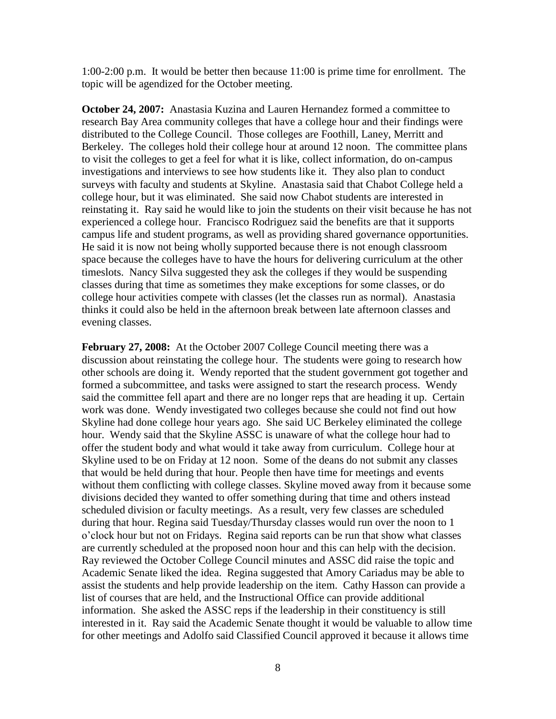1:00-2:00 p.m. It would be better then because 11:00 is prime time for enrollment. The topic will be agendized for the October meeting.

**October 24, 2007:** Anastasia Kuzina and Lauren Hernandez formed a committee to research Bay Area community colleges that have a college hour and their findings were distributed to the College Council. Those colleges are Foothill, Laney, Merritt and Berkeley. The colleges hold their college hour at around 12 noon. The committee plans to visit the colleges to get a feel for what it is like, collect information, do on-campus investigations and interviews to see how students like it. They also plan to conduct surveys with faculty and students at Skyline. Anastasia said that Chabot College held a college hour, but it was eliminated. She said now Chabot students are interested in reinstating it. Ray said he would like to join the students on their visit because he has not experienced a college hour. Francisco Rodriguez said the benefits are that it supports campus life and student programs, as well as providing shared governance opportunities. He said it is now not being wholly supported because there is not enough classroom space because the colleges have to have the hours for delivering curriculum at the other timeslots. Nancy Silva suggested they ask the colleges if they would be suspending classes during that time as sometimes they make exceptions for some classes, or do college hour activities compete with classes (let the classes run as normal). Anastasia thinks it could also be held in the afternoon break between late afternoon classes and evening classes.

**February 27, 2008:** At the October 2007 College Council meeting there was a discussion about reinstating the college hour. The students were going to research how other schools are doing it. Wendy reported that the student government got together and formed a subcommittee, and tasks were assigned to start the research process. Wendy said the committee fell apart and there are no longer reps that are heading it up. Certain work was done. Wendy investigated two colleges because she could not find out how Skyline had done college hour years ago. She said UC Berkeley eliminated the college hour. Wendy said that the Skyline ASSC is unaware of what the college hour had to offer the student body and what would it take away from curriculum. College hour at Skyline used to be on Friday at 12 noon. Some of the deans do not submit any classes that would be held during that hour. People then have time for meetings and events without them conflicting with college classes. Skyline moved away from it because some divisions decided they wanted to offer something during that time and others instead scheduled division or faculty meetings. As a result, very few classes are scheduled during that hour. Regina said Tuesday/Thursday classes would run over the noon to 1 o'clock hour but not on Fridays. Regina said reports can be run that show what classes are currently scheduled at the proposed noon hour and this can help with the decision. Ray reviewed the October College Council minutes and ASSC did raise the topic and Academic Senate liked the idea. Regina suggested that Amory Cariadus may be able to assist the students and help provide leadership on the item. Cathy Hasson can provide a list of courses that are held, and the Instructional Office can provide additional information. She asked the ASSC reps if the leadership in their constituency is still interested in it. Ray said the Academic Senate thought it would be valuable to allow time for other meetings and Adolfo said Classified Council approved it because it allows time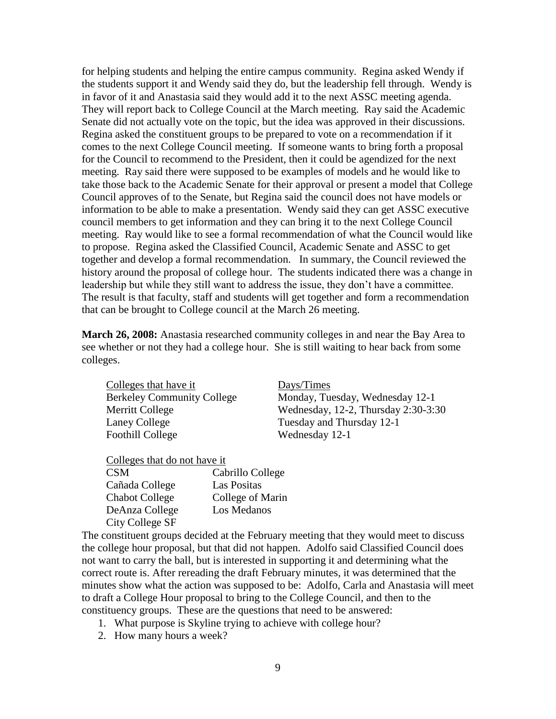for helping students and helping the entire campus community. Regina asked Wendy if the students support it and Wendy said they do, but the leadership fell through. Wendy is in favor of it and Anastasia said they would add it to the next ASSC meeting agenda. They will report back to College Council at the March meeting. Ray said the Academic Senate did not actually vote on the topic, but the idea was approved in their discussions. Regina asked the constituent groups to be prepared to vote on a recommendation if it comes to the next College Council meeting. If someone wants to bring forth a proposal for the Council to recommend to the President, then it could be agendized for the next meeting. Ray said there were supposed to be examples of models and he would like to take those back to the Academic Senate for their approval or present a model that College Council approves of to the Senate, but Regina said the council does not have models or information to be able to make a presentation. Wendy said they can get ASSC executive council members to get information and they can bring it to the next College Council meeting. Ray would like to see a formal recommendation of what the Council would like to propose. Regina asked the Classified Council, Academic Senate and ASSC to get together and develop a formal recommendation. In summary, the Council reviewed the history around the proposal of college hour. The students indicated there was a change in leadership but while they still want to address the issue, they don't have a committee. The result is that faculty, staff and students will get together and form a recommendation that can be brought to College council at the March 26 meeting.

**March 26, 2008:** Anastasia researched community colleges in and near the Bay Area to see whether or not they had a college hour. She is still waiting to hear back from some colleges.

Colleges that have it Days/Times Laney College Tuesday and Thursday 12-1 Foothill College Wednesday 12-1

Berkeley Community College Monday, Tuesday, Wednesday 12-1 Merritt College Wednesday, 12-2, Thursday 2:30-3:30

Colleges that do not have it

| <b>CSM</b>            | Cabrillo College |
|-----------------------|------------------|
| Cañada College        | Las Positas      |
| <b>Chabot College</b> | College of Marin |
| DeAnza College        | Los Medanos      |
| City College SF       |                  |

The constituent groups decided at the February meeting that they would meet to discuss the college hour proposal, but that did not happen. Adolfo said Classified Council does not want to carry the ball, but is interested in supporting it and determining what the correct route is. After rereading the draft February minutes, it was determined that the minutes show what the action was supposed to be: Adolfo, Carla and Anastasia will meet to draft a College Hour proposal to bring to the College Council, and then to the constituency groups. These are the questions that need to be answered:

- 1. What purpose is Skyline trying to achieve with college hour?
- 2. How many hours a week?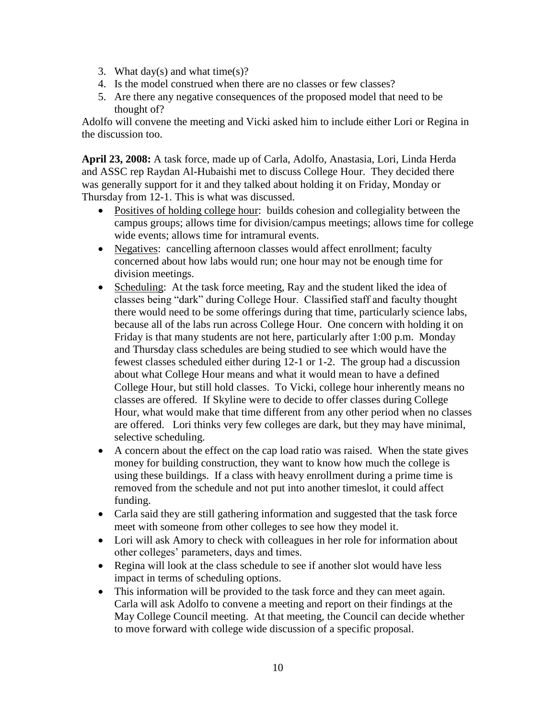- 3. What day(s) and what time(s)?
- 4. Is the model construed when there are no classes or few classes?
- 5. Are there any negative consequences of the proposed model that need to be thought of?

Adolfo will convene the meeting and Vicki asked him to include either Lori or Regina in the discussion too.

**April 23, 2008:** A task force, made up of Carla, Adolfo, Anastasia, Lori, Linda Herda and ASSC rep Raydan Al-Hubaishi met to discuss College Hour. They decided there was generally support for it and they talked about holding it on Friday, Monday or Thursday from 12-1. This is what was discussed.

- Positives of holding college hour: builds cohesion and collegiality between the campus groups; allows time for division/campus meetings; allows time for college wide events; allows time for intramural events.
- Negatives: cancelling afternoon classes would affect enrollment; faculty concerned about how labs would run; one hour may not be enough time for division meetings.
- Scheduling: At the task force meeting, Ray and the student liked the idea of classes being "dark" during College Hour. Classified staff and faculty thought there would need to be some offerings during that time, particularly science labs, because all of the labs run across College Hour. One concern with holding it on Friday is that many students are not here, particularly after 1:00 p.m. Monday and Thursday class schedules are being studied to see which would have the fewest classes scheduled either during 12-1 or 1-2. The group had a discussion about what College Hour means and what it would mean to have a defined College Hour, but still hold classes. To Vicki, college hour inherently means no classes are offered. If Skyline were to decide to offer classes during College Hour, what would make that time different from any other period when no classes are offered. Lori thinks very few colleges are dark, but they may have minimal, selective scheduling.
- A concern about the effect on the cap load ratio was raised. When the state gives money for building construction, they want to know how much the college is using these buildings. If a class with heavy enrollment during a prime time is removed from the schedule and not put into another timeslot, it could affect funding.
- Carla said they are still gathering information and suggested that the task force meet with someone from other colleges to see how they model it.
- Lori will ask Amory to check with colleagues in her role for information about other colleges' parameters, days and times.
- Regina will look at the class schedule to see if another slot would have less impact in terms of scheduling options.
- This information will be provided to the task force and they can meet again. Carla will ask Adolfo to convene a meeting and report on their findings at the May College Council meeting. At that meeting, the Council can decide whether to move forward with college wide discussion of a specific proposal.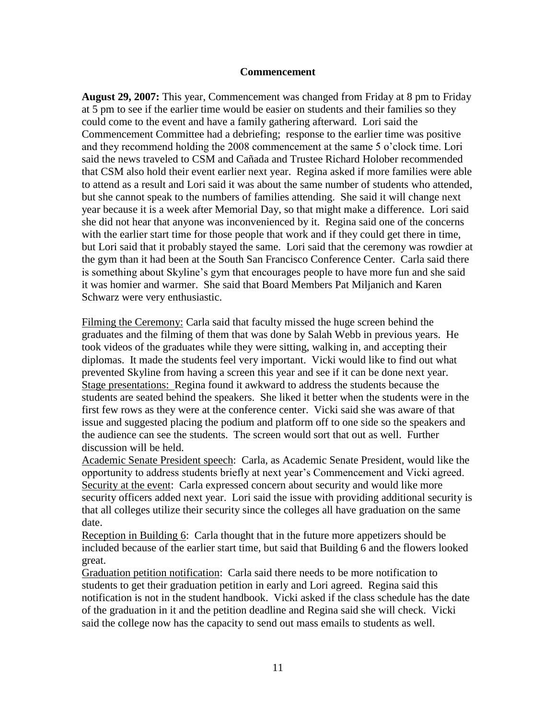### **Commencement**

**August 29, 2007:** This year, Commencement was changed from Friday at 8 pm to Friday at 5 pm to see if the earlier time would be easier on students and their families so they could come to the event and have a family gathering afterward. Lori said the Commencement Committee had a debriefing; response to the earlier time was positive and they recommend holding the 2008 commencement at the same 5 o'clock time. Lori said the news traveled to CSM and Cañada and Trustee Richard Holober recommended that CSM also hold their event earlier next year. Regina asked if more families were able to attend as a result and Lori said it was about the same number of students who attended, but she cannot speak to the numbers of families attending. She said it will change next year because it is a week after Memorial Day, so that might make a difference. Lori said she did not hear that anyone was inconvenienced by it. Regina said one of the concerns with the earlier start time for those people that work and if they could get there in time, but Lori said that it probably stayed the same. Lori said that the ceremony was rowdier at the gym than it had been at the South San Francisco Conference Center. Carla said there is something about Skyline's gym that encourages people to have more fun and she said it was homier and warmer. She said that Board Members Pat Miljanich and Karen Schwarz were very enthusiastic.

Filming the Ceremony: Carla said that faculty missed the huge screen behind the graduates and the filming of them that was done by Salah Webb in previous years. He took videos of the graduates while they were sitting, walking in, and accepting their diplomas. It made the students feel very important. Vicki would like to find out what prevented Skyline from having a screen this year and see if it can be done next year. Stage presentations: Regina found it awkward to address the students because the students are seated behind the speakers. She liked it better when the students were in the first few rows as they were at the conference center. Vicki said she was aware of that issue and suggested placing the podium and platform off to one side so the speakers and the audience can see the students. The screen would sort that out as well. Further discussion will be held.

Academic Senate President speech: Carla, as Academic Senate President, would like the opportunity to address students briefly at next year's Commencement and Vicki agreed. Security at the event: Carla expressed concern about security and would like more security officers added next year. Lori said the issue with providing additional security is that all colleges utilize their security since the colleges all have graduation on the same date.

Reception in Building 6: Carla thought that in the future more appetizers should be included because of the earlier start time, but said that Building 6 and the flowers looked great.

Graduation petition notification: Carla said there needs to be more notification to students to get their graduation petition in early and Lori agreed. Regina said this notification is not in the student handbook. Vicki asked if the class schedule has the date of the graduation in it and the petition deadline and Regina said she will check. Vicki said the college now has the capacity to send out mass emails to students as well.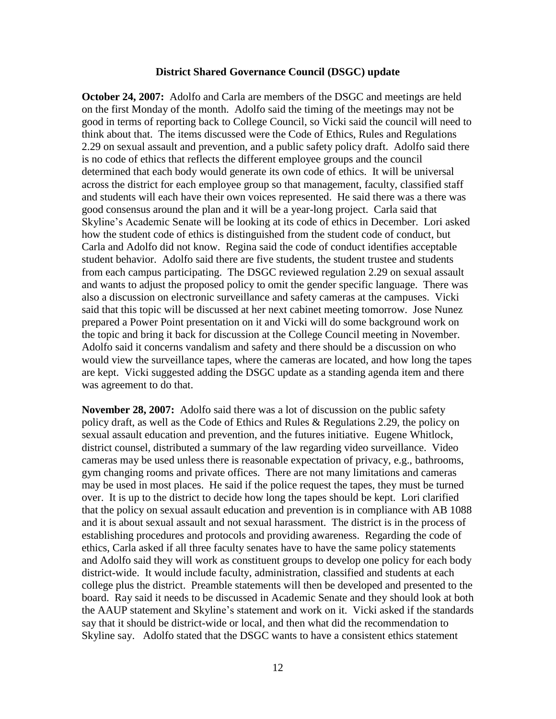### **District Shared Governance Council (DSGC) update**

**October 24, 2007:** Adolfo and Carla are members of the DSGC and meetings are held on the first Monday of the month. Adolfo said the timing of the meetings may not be good in terms of reporting back to College Council, so Vicki said the council will need to think about that. The items discussed were the Code of Ethics, Rules and Regulations 2.29 on sexual assault and prevention, and a public safety policy draft. Adolfo said there is no code of ethics that reflects the different employee groups and the council determined that each body would generate its own code of ethics. It will be universal across the district for each employee group so that management, faculty, classified staff and students will each have their own voices represented. He said there was a there was good consensus around the plan and it will be a year-long project. Carla said that Skyline's Academic Senate will be looking at its code of ethics in December. Lori asked how the student code of ethics is distinguished from the student code of conduct, but Carla and Adolfo did not know. Regina said the code of conduct identifies acceptable student behavior. Adolfo said there are five students, the student trustee and students from each campus participating. The DSGC reviewed regulation 2.29 on sexual assault and wants to adjust the proposed policy to omit the gender specific language. There was also a discussion on electronic surveillance and safety cameras at the campuses. Vicki said that this topic will be discussed at her next cabinet meeting tomorrow. Jose Nunez prepared a Power Point presentation on it and Vicki will do some background work on the topic and bring it back for discussion at the College Council meeting in November. Adolfo said it concerns vandalism and safety and there should be a discussion on who would view the surveillance tapes, where the cameras are located, and how long the tapes are kept. Vicki suggested adding the DSGC update as a standing agenda item and there was agreement to do that.

**November 28, 2007:** Adolfo said there was a lot of discussion on the public safety policy draft, as well as the Code of Ethics and Rules & Regulations 2.29, the policy on sexual assault education and prevention, and the futures initiative. Eugene Whitlock, district counsel, distributed a summary of the law regarding video surveillance. Video cameras may be used unless there is reasonable expectation of privacy, e.g., bathrooms, gym changing rooms and private offices. There are not many limitations and cameras may be used in most places. He said if the police request the tapes, they must be turned over. It is up to the district to decide how long the tapes should be kept. Lori clarified that the policy on sexual assault education and prevention is in compliance with AB 1088 and it is about sexual assault and not sexual harassment. The district is in the process of establishing procedures and protocols and providing awareness. Regarding the code of ethics, Carla asked if all three faculty senates have to have the same policy statements and Adolfo said they will work as constituent groups to develop one policy for each body district-wide. It would include faculty, administration, classified and students at each college plus the district. Preamble statements will then be developed and presented to the board. Ray said it needs to be discussed in Academic Senate and they should look at both the AAUP statement and Skyline's statement and work on it. Vicki asked if the standards say that it should be district-wide or local, and then what did the recommendation to Skyline say. Adolfo stated that the DSGC wants to have a consistent ethics statement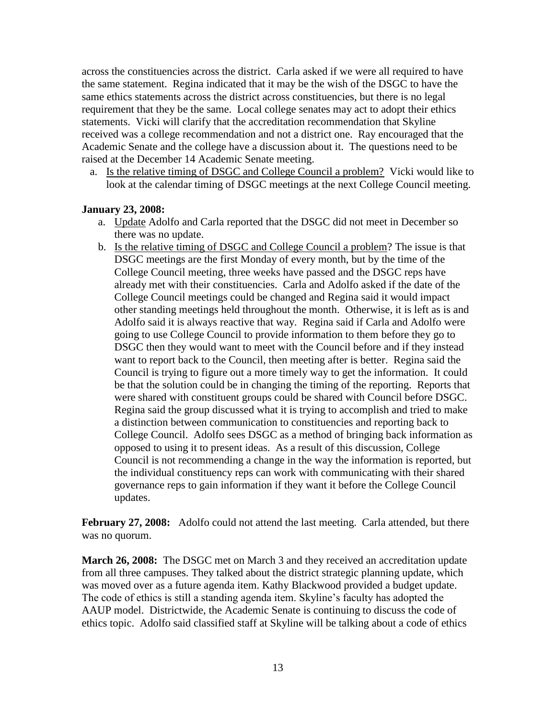across the constituencies across the district. Carla asked if we were all required to have the same statement. Regina indicated that it may be the wish of the DSGC to have the same ethics statements across the district across constituencies, but there is no legal requirement that they be the same. Local college senates may act to adopt their ethics statements. Vicki will clarify that the accreditation recommendation that Skyline received was a college recommendation and not a district one. Ray encouraged that the Academic Senate and the college have a discussion about it. The questions need to be raised at the December 14 Academic Senate meeting.

a. Is the relative timing of DSGC and College Council a problem? Vicki would like to look at the calendar timing of DSGC meetings at the next College Council meeting.

# **January 23, 2008:**

- a. Update Adolfo and Carla reported that the DSGC did not meet in December so there was no update.
- b. Is the relative timing of DSGC and College Council a problem? The issue is that DSGC meetings are the first Monday of every month, but by the time of the College Council meeting, three weeks have passed and the DSGC reps have already met with their constituencies. Carla and Adolfo asked if the date of the College Council meetings could be changed and Regina said it would impact other standing meetings held throughout the month. Otherwise, it is left as is and Adolfo said it is always reactive that way. Regina said if Carla and Adolfo were going to use College Council to provide information to them before they go to DSGC then they would want to meet with the Council before and if they instead want to report back to the Council, then meeting after is better. Regina said the Council is trying to figure out a more timely way to get the information. It could be that the solution could be in changing the timing of the reporting. Reports that were shared with constituent groups could be shared with Council before DSGC. Regina said the group discussed what it is trying to accomplish and tried to make a distinction between communication to constituencies and reporting back to College Council. Adolfo sees DSGC as a method of bringing back information as opposed to using it to present ideas. As a result of this discussion, College Council is not recommending a change in the way the information is reported, but the individual constituency reps can work with communicating with their shared governance reps to gain information if they want it before the College Council updates.

February 27, 2008: Adolfo could not attend the last meeting. Carla attended, but there was no quorum.

**March 26, 2008:** The DSGC met on March 3 and they received an accreditation update from all three campuses. They talked about the district strategic planning update, which was moved over as a future agenda item. Kathy Blackwood provided a budget update. The code of ethics is still a standing agenda item. Skyline's faculty has adopted the AAUP model. Districtwide, the Academic Senate is continuing to discuss the code of ethics topic. Adolfo said classified staff at Skyline will be talking about a code of ethics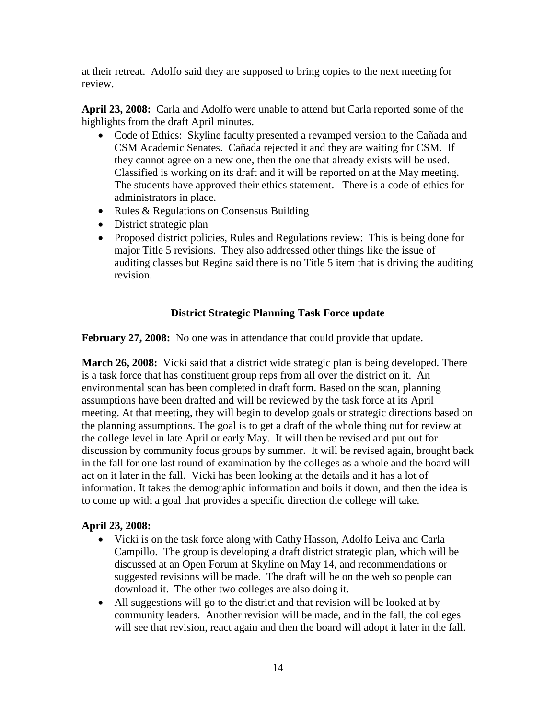at their retreat. Adolfo said they are supposed to bring copies to the next meeting for review.

**April 23, 2008:** Carla and Adolfo were unable to attend but Carla reported some of the highlights from the draft April minutes.

- Code of Ethics: Skyline faculty presented a revamped version to the Cañada and CSM Academic Senates. Cañada rejected it and they are waiting for CSM. If they cannot agree on a new one, then the one that already exists will be used. Classified is working on its draft and it will be reported on at the May meeting. The students have approved their ethics statement. There is a code of ethics for administrators in place.
- Rules & Regulations on Consensus Building
- District strategic plan
- Proposed district policies, Rules and Regulations review: This is being done for major Title 5 revisions. They also addressed other things like the issue of auditing classes but Regina said there is no Title 5 item that is driving the auditing revision.

# **District Strategic Planning Task Force update**

**February 27, 2008:** No one was in attendance that could provide that update.

**March 26, 2008:** Vicki said that a district wide strategic plan is being developed. There is a task force that has constituent group reps from all over the district on it. An environmental scan has been completed in draft form. Based on the scan, planning assumptions have been drafted and will be reviewed by the task force at its April meeting. At that meeting, they will begin to develop goals or strategic directions based on the planning assumptions. The goal is to get a draft of the whole thing out for review at the college level in late April or early May. It will then be revised and put out for discussion by community focus groups by summer. It will be revised again, brought back in the fall for one last round of examination by the colleges as a whole and the board will act on it later in the fall. Vicki has been looking at the details and it has a lot of information. It takes the demographic information and boils it down, and then the idea is to come up with a goal that provides a specific direction the college will take.

# **April 23, 2008:**

- Vicki is on the task force along with Cathy Hasson, Adolfo Leiva and Carla Campillo. The group is developing a draft district strategic plan, which will be discussed at an Open Forum at Skyline on May 14, and recommendations or suggested revisions will be made. The draft will be on the web so people can download it. The other two colleges are also doing it.
- All suggestions will go to the district and that revision will be looked at by community leaders. Another revision will be made, and in the fall, the colleges will see that revision, react again and then the board will adopt it later in the fall.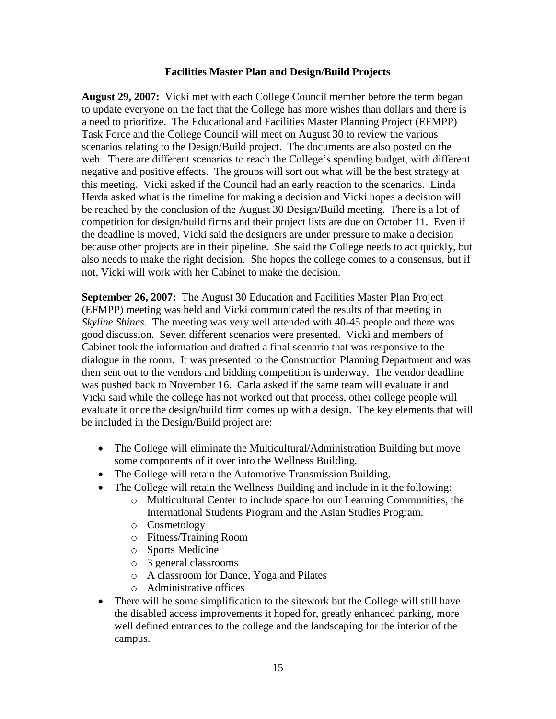# **Facilities Master Plan and Design/Build Projects**

**August 29, 2007:** Vicki met with each College Council member before the term began to update everyone on the fact that the College has more wishes than dollars and there is a need to prioritize. The Educational and Facilities Master Planning Project (EFMPP) Task Force and the College Council will meet on August 30 to review the various scenarios relating to the Design/Build project. The documents are also posted on the web. There are different scenarios to reach the College's spending budget, with different negative and positive effects. The groups will sort out what will be the best strategy at this meeting. Vicki asked if the Council had an early reaction to the scenarios. Linda Herda asked what is the timeline for making a decision and Vicki hopes a decision will be reached by the conclusion of the August 30 Design/Build meeting. There is a lot of competition for design/build firms and their project lists are due on October 11. Even if the deadline is moved, Vicki said the designers are under pressure to make a decision because other projects are in their pipeline. She said the College needs to act quickly, but also needs to make the right decision. She hopes the college comes to a consensus, but if not, Vicki will work with her Cabinet to make the decision.

**September 26, 2007:** The August 30 Education and Facilities Master Plan Project (EFMPP) meeting was held and Vicki communicated the results of that meeting in *Skyline Shines*. The meeting was very well attended with 40-45 people and there was good discussion. Seven different scenarios were presented. Vicki and members of Cabinet took the information and drafted a final scenario that was responsive to the dialogue in the room. It was presented to the Construction Planning Department and was then sent out to the vendors and bidding competition is underway. The vendor deadline was pushed back to November 16. Carla asked if the same team will evaluate it and Vicki said while the college has not worked out that process, other college people will evaluate it once the design/build firm comes up with a design. The key elements that will be included in the Design/Build project are:

- The College will eliminate the Multicultural/Administration Building but move some components of it over into the Wellness Building.
- The College will retain the Automotive Transmission Building.
- The College will retain the Wellness Building and include in it the following:
	- o Multicultural Center to include space for our Learning Communities, the International Students Program and the Asian Studies Program.
	- o Cosmetology
	- o Fitness/Training Room
	- o Sports Medicine
	- o 3 general classrooms
	- o A classroom for Dance, Yoga and Pilates
	- o Administrative offices
- There will be some simplification to the sitework but the College will still have the disabled access improvements it hoped for, greatly enhanced parking, more well defined entrances to the college and the landscaping for the interior of the campus.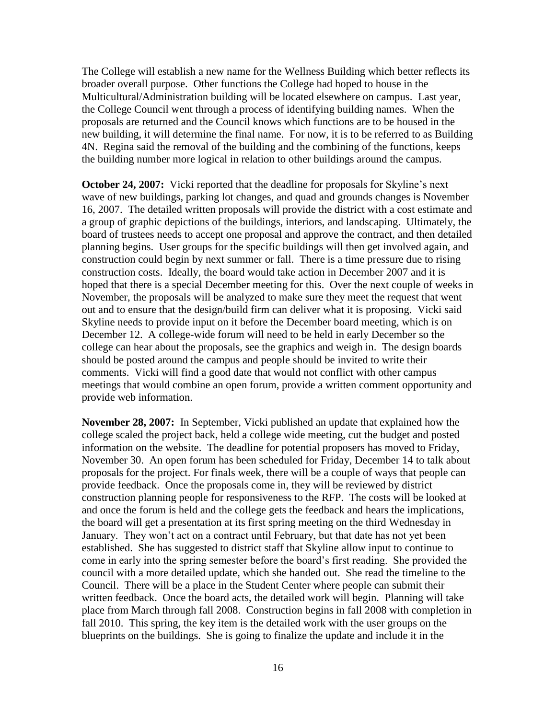The College will establish a new name for the Wellness Building which better reflects its broader overall purpose. Other functions the College had hoped to house in the Multicultural/Administration building will be located elsewhere on campus. Last year, the College Council went through a process of identifying building names. When the proposals are returned and the Council knows which functions are to be housed in the new building, it will determine the final name. For now, it is to be referred to as Building 4N. Regina said the removal of the building and the combining of the functions, keeps the building number more logical in relation to other buildings around the campus.

**October 24, 2007:** Vicki reported that the deadline for proposals for Skyline's next wave of new buildings, parking lot changes, and quad and grounds changes is November 16, 2007. The detailed written proposals will provide the district with a cost estimate and a group of graphic depictions of the buildings, interiors, and landscaping. Ultimately, the board of trustees needs to accept one proposal and approve the contract, and then detailed planning begins. User groups for the specific buildings will then get involved again, and construction could begin by next summer or fall. There is a time pressure due to rising construction costs. Ideally, the board would take action in December 2007 and it is hoped that there is a special December meeting for this. Over the next couple of weeks in November, the proposals will be analyzed to make sure they meet the request that went out and to ensure that the design/build firm can deliver what it is proposing. Vicki said Skyline needs to provide input on it before the December board meeting, which is on December 12. A college-wide forum will need to be held in early December so the college can hear about the proposals, see the graphics and weigh in. The design boards should be posted around the campus and people should be invited to write their comments. Vicki will find a good date that would not conflict with other campus meetings that would combine an open forum, provide a written comment opportunity and provide web information.

**November 28, 2007:** In September, Vicki published an update that explained how the college scaled the project back, held a college wide meeting, cut the budget and posted information on the website. The deadline for potential proposers has moved to Friday, November 30. An open forum has been scheduled for Friday, December 14 to talk about proposals for the project. For finals week, there will be a couple of ways that people can provide feedback. Once the proposals come in, they will be reviewed by district construction planning people for responsiveness to the RFP. The costs will be looked at and once the forum is held and the college gets the feedback and hears the implications, the board will get a presentation at its first spring meeting on the third Wednesday in January. They won't act on a contract until February, but that date has not yet been established. She has suggested to district staff that Skyline allow input to continue to come in early into the spring semester before the board's first reading. She provided the council with a more detailed update, which she handed out. She read the timeline to the Council. There will be a place in the Student Center where people can submit their written feedback. Once the board acts, the detailed work will begin. Planning will take place from March through fall 2008. Construction begins in fall 2008 with completion in fall 2010. This spring, the key item is the detailed work with the user groups on the blueprints on the buildings. She is going to finalize the update and include it in the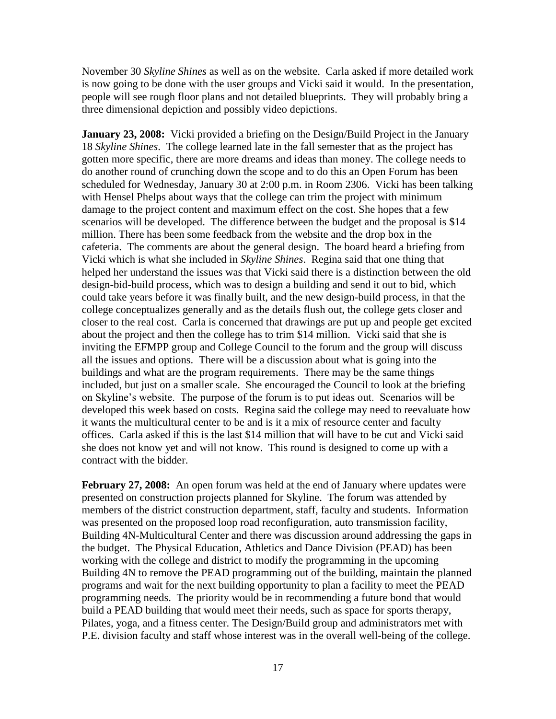November 30 *Skyline Shines* as well as on the website. Carla asked if more detailed work is now going to be done with the user groups and Vicki said it would. In the presentation, people will see rough floor plans and not detailed blueprints. They will probably bring a three dimensional depiction and possibly video depictions.

**January 23, 2008:** Vicki provided a briefing on the Design/Build Project in the January 18 *Skyline Shines*. The college learned late in the fall semester that as the project has gotten more specific, there are more dreams and ideas than money. The college needs to do another round of crunching down the scope and to do this an Open Forum has been scheduled for Wednesday, January 30 at 2:00 p.m. in Room 2306. Vicki has been talking with Hensel Phelps about ways that the college can trim the project with minimum damage to the project content and maximum effect on the cost. She hopes that a few scenarios will be developed. The difference between the budget and the proposal is \$14 million. There has been some feedback from the website and the drop box in the cafeteria. The comments are about the general design. The board heard a briefing from Vicki which is what she included in *Skyline Shines*. Regina said that one thing that helped her understand the issues was that Vicki said there is a distinction between the old design-bid-build process, which was to design a building and send it out to bid, which could take years before it was finally built, and the new design-build process, in that the college conceptualizes generally and as the details flush out, the college gets closer and closer to the real cost. Carla is concerned that drawings are put up and people get excited about the project and then the college has to trim \$14 million. Vicki said that she is inviting the EFMPP group and College Council to the forum and the group will discuss all the issues and options. There will be a discussion about what is going into the buildings and what are the program requirements. There may be the same things included, but just on a smaller scale. She encouraged the Council to look at the briefing on Skyline's website. The purpose of the forum is to put ideas out. Scenarios will be developed this week based on costs. Regina said the college may need to reevaluate how it wants the multicultural center to be and is it a mix of resource center and faculty offices. Carla asked if this is the last \$14 million that will have to be cut and Vicki said she does not know yet and will not know. This round is designed to come up with a contract with the bidder.

**February 27, 2008:** An open forum was held at the end of January where updates were presented on construction projects planned for Skyline. The forum was attended by members of the district construction department, staff, faculty and students. Information was presented on the proposed loop road reconfiguration, auto transmission facility, Building 4N-Multicultural Center and there was discussion around addressing the gaps in the budget. The Physical Education, Athletics and Dance Division (PEAD) has been working with the college and district to modify the programming in the upcoming Building 4N to remove the PEAD programming out of the building, maintain the planned programs and wait for the next building opportunity to plan a facility to meet the PEAD programming needs. The priority would be in recommending a future bond that would build a PEAD building that would meet their needs, such as space for sports therapy, Pilates, yoga, and a fitness center. The Design/Build group and administrators met with P.E. division faculty and staff whose interest was in the overall well-being of the college.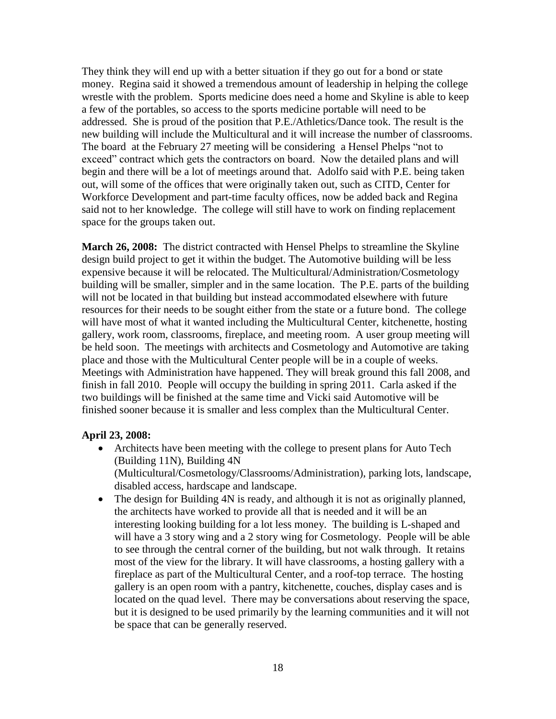They think they will end up with a better situation if they go out for a bond or state money. Regina said it showed a tremendous amount of leadership in helping the college wrestle with the problem. Sports medicine does need a home and Skyline is able to keep a few of the portables, so access to the sports medicine portable will need to be addressed. She is proud of the position that P.E./Athletics/Dance took. The result is the new building will include the Multicultural and it will increase the number of classrooms. The board at the February 27 meeting will be considering a Hensel Phelps "not to exceed" contract which gets the contractors on board. Now the detailed plans and will begin and there will be a lot of meetings around that. Adolfo said with P.E. being taken out, will some of the offices that were originally taken out, such as CITD, Center for Workforce Development and part-time faculty offices, now be added back and Regina said not to her knowledge. The college will still have to work on finding replacement space for the groups taken out.

**March 26, 2008:** The district contracted with Hensel Phelps to streamline the Skyline design build project to get it within the budget. The Automotive building will be less expensive because it will be relocated. The Multicultural/Administration/Cosmetology building will be smaller, simpler and in the same location. The P.E. parts of the building will not be located in that building but instead accommodated elsewhere with future resources for their needs to be sought either from the state or a future bond. The college will have most of what it wanted including the Multicultural Center, kitchenette, hosting gallery, work room, classrooms, fireplace, and meeting room. A user group meeting will be held soon. The meetings with architects and Cosmetology and Automotive are taking place and those with the Multicultural Center people will be in a couple of weeks. Meetings with Administration have happened. They will break ground this fall 2008, and finish in fall 2010. People will occupy the building in spring 2011. Carla asked if the two buildings will be finished at the same time and Vicki said Automotive will be finished sooner because it is smaller and less complex than the Multicultural Center.

# **April 23, 2008:**

- Architects have been meeting with the college to present plans for Auto Tech (Building 11N), Building 4N (Multicultural/Cosmetology/Classrooms/Administration), parking lots, landscape, disabled access, hardscape and landscape.
- The design for Building 4N is ready, and although it is not as originally planned, the architects have worked to provide all that is needed and it will be an interesting looking building for a lot less money. The building is L-shaped and will have a 3 story wing and a 2 story wing for Cosmetology. People will be able to see through the central corner of the building, but not walk through. It retains most of the view for the library. It will have classrooms, a hosting gallery with a fireplace as part of the Multicultural Center, and a roof-top terrace. The hosting gallery is an open room with a pantry, kitchenette, couches, display cases and is located on the quad level. There may be conversations about reserving the space, but it is designed to be used primarily by the learning communities and it will not be space that can be generally reserved.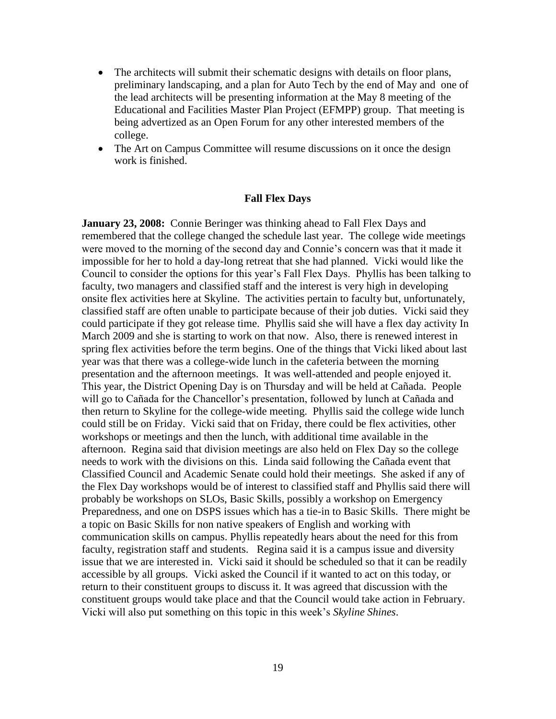- The architects will submit their schematic designs with details on floor plans, preliminary landscaping, and a plan for Auto Tech by the end of May and one of the lead architects will be presenting information at the May 8 meeting of the Educational and Facilities Master Plan Project (EFMPP) group. That meeting is being advertized as an Open Forum for any other interested members of the college.
- The Art on Campus Committee will resume discussions on it once the design work is finished.

#### **Fall Flex Days**

**January 23, 2008:** Connie Beringer was thinking ahead to Fall Flex Days and remembered that the college changed the schedule last year. The college wide meetings were moved to the morning of the second day and Connie's concern was that it made it impossible for her to hold a day-long retreat that she had planned. Vicki would like the Council to consider the options for this year's Fall Flex Days. Phyllis has been talking to faculty, two managers and classified staff and the interest is very high in developing onsite flex activities here at Skyline. The activities pertain to faculty but, unfortunately, classified staff are often unable to participate because of their job duties. Vicki said they could participate if they got release time. Phyllis said she will have a flex day activity In March 2009 and she is starting to work on that now. Also, there is renewed interest in spring flex activities before the term begins. One of the things that Vicki liked about last year was that there was a college-wide lunch in the cafeteria between the morning presentation and the afternoon meetings. It was well-attended and people enjoyed it. This year, the District Opening Day is on Thursday and will be held at Cañada. People will go to Cañada for the Chancellor's presentation, followed by lunch at Cañada and then return to Skyline for the college-wide meeting. Phyllis said the college wide lunch could still be on Friday. Vicki said that on Friday, there could be flex activities, other workshops or meetings and then the lunch, with additional time available in the afternoon. Regina said that division meetings are also held on Flex Day so the college needs to work with the divisions on this. Linda said following the Cañada event that Classified Council and Academic Senate could hold their meetings. She asked if any of the Flex Day workshops would be of interest to classified staff and Phyllis said there will probably be workshops on SLOs, Basic Skills, possibly a workshop on Emergency Preparedness, and one on DSPS issues which has a tie-in to Basic Skills. There might be a topic on Basic Skills for non native speakers of English and working with communication skills on campus. Phyllis repeatedly hears about the need for this from faculty, registration staff and students. Regina said it is a campus issue and diversity issue that we are interested in. Vicki said it should be scheduled so that it can be readily accessible by all groups. Vicki asked the Council if it wanted to act on this today, or return to their constituent groups to discuss it. It was agreed that discussion with the constituent groups would take place and that the Council would take action in February. Vicki will also put something on this topic in this week's *Skyline Shines*.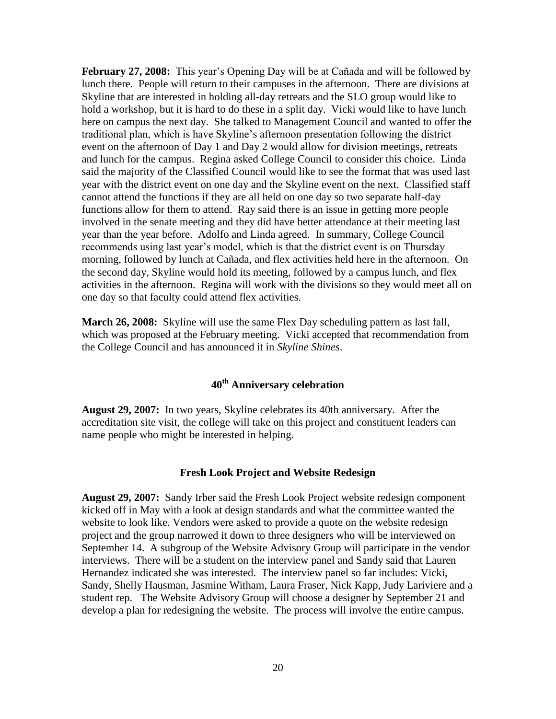**February 27, 2008:** This year's Opening Day will be at Cañada and will be followed by lunch there. People will return to their campuses in the afternoon. There are divisions at Skyline that are interested in holding all-day retreats and the SLO group would like to hold a workshop, but it is hard to do these in a split day. Vicki would like to have lunch here on campus the next day. She talked to Management Council and wanted to offer the traditional plan, which is have Skyline's afternoon presentation following the district event on the afternoon of Day 1 and Day 2 would allow for division meetings, retreats and lunch for the campus. Regina asked College Council to consider this choice. Linda said the majority of the Classified Council would like to see the format that was used last year with the district event on one day and the Skyline event on the next. Classified staff cannot attend the functions if they are all held on one day so two separate half-day functions allow for them to attend. Ray said there is an issue in getting more people involved in the senate meeting and they did have better attendance at their meeting last year than the year before. Adolfo and Linda agreed. In summary, College Council recommends using last year's model, which is that the district event is on Thursday morning, followed by lunch at Cañada, and flex activities held here in the afternoon. On the second day, Skyline would hold its meeting, followed by a campus lunch, and flex activities in the afternoon. Regina will work with the divisions so they would meet all on one day so that faculty could attend flex activities.

**March 26, 2008:** Skyline will use the same Flex Day scheduling pattern as last fall, which was proposed at the February meeting. Vicki accepted that recommendation from the College Council and has announced it in *Skyline Shines*.

# **40th Anniversary celebration**

**August 29, 2007:** In two years, Skyline celebrates its 40th anniversary. After the accreditation site visit, the college will take on this project and constituent leaders can name people who might be interested in helping.

#### **Fresh Look Project and Website Redesign**

**August 29, 2007:** Sandy Irber said the Fresh Look Project website redesign component kicked off in May with a look at design standards and what the committee wanted the website to look like. Vendors were asked to provide a quote on the website redesign project and the group narrowed it down to three designers who will be interviewed on September 14. A subgroup of the Website Advisory Group will participate in the vendor interviews. There will be a student on the interview panel and Sandy said that Lauren Hernandez indicated she was interested. The interview panel so far includes: Vicki, Sandy, Shelly Hausman, Jasmine Witham, Laura Fraser, Nick Kapp, Judy Lariviere and a student rep. The Website Advisory Group will choose a designer by September 21 and develop a plan for redesigning the website. The process will involve the entire campus.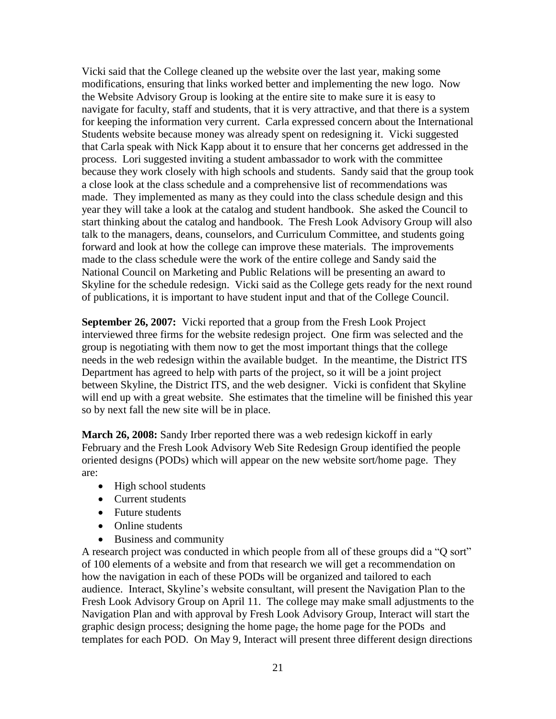Vicki said that the College cleaned up the website over the last year, making some modifications, ensuring that links worked better and implementing the new logo. Now the Website Advisory Group is looking at the entire site to make sure it is easy to navigate for faculty, staff and students, that it is very attractive, and that there is a system for keeping the information very current. Carla expressed concern about the International Students website because money was already spent on redesigning it. Vicki suggested that Carla speak with Nick Kapp about it to ensure that her concerns get addressed in the process. Lori suggested inviting a student ambassador to work with the committee because they work closely with high schools and students. Sandy said that the group took a close look at the class schedule and a comprehensive list of recommendations was made. They implemented as many as they could into the class schedule design and this year they will take a look at the catalog and student handbook. She asked the Council to start thinking about the catalog and handbook. The Fresh Look Advisory Group will also talk to the managers, deans, counselors, and Curriculum Committee, and students going forward and look at how the college can improve these materials. The improvements made to the class schedule were the work of the entire college and Sandy said the National Council on Marketing and Public Relations will be presenting an award to Skyline for the schedule redesign. Vicki said as the College gets ready for the next round of publications, it is important to have student input and that of the College Council.

**September 26, 2007:** Vicki reported that a group from the Fresh Look Project interviewed three firms for the website redesign project. One firm was selected and the group is negotiating with them now to get the most important things that the college needs in the web redesign within the available budget. In the meantime, the District ITS Department has agreed to help with parts of the project, so it will be a joint project between Skyline, the District ITS, and the web designer. Vicki is confident that Skyline will end up with a great website. She estimates that the timeline will be finished this year so by next fall the new site will be in place.

**March 26, 2008:** Sandy Irber reported there was a web redesign kickoff in early February and the Fresh Look Advisory Web Site Redesign Group identified the people oriented designs (PODs) which will appear on the new website sort/home page. They are:

- High school students
- Current students
- Future students
- Online students
- Business and community

A research project was conducted in which people from all of these groups did a "Q sort" of 100 elements of a website and from that research we will get a recommendation on how the navigation in each of these PODs will be organized and tailored to each audience. Interact, Skyline's website consultant, will present the Navigation Plan to the Fresh Look Advisory Group on April 11. The college may make small adjustments to the Navigation Plan and with approval by Fresh Look Advisory Group, Interact will start the graphic design process; designing the home page, the home page for the PODs and templates for each POD. On May 9, Interact will present three different design directions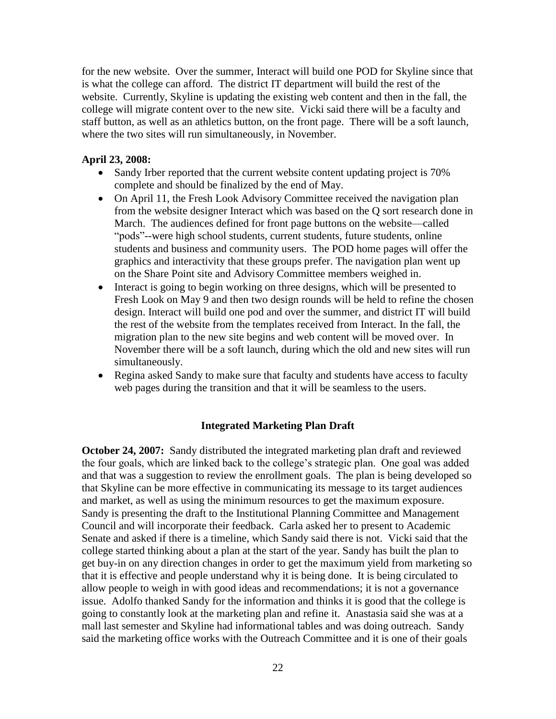for the new website. Over the summer, Interact will build one POD for Skyline since that is what the college can afford. The district IT department will build the rest of the website. Currently, Skyline is updating the existing web content and then in the fall, the college will migrate content over to the new site. Vicki said there will be a faculty and staff button, as well as an athletics button, on the front page. There will be a soft launch, where the two sites will run simultaneously, in November.

# **April 23, 2008:**

- Sandy Irber reported that the current website content updating project is 70% complete and should be finalized by the end of May.
- On April 11, the Fresh Look Advisory Committee received the navigation plan from the website designer Interact which was based on the Q sort research done in March. The audiences defined for front page buttons on the website—called "pods"--were high school students, current students, future students, online students and business and community users. The POD home pages will offer the graphics and interactivity that these groups prefer. The navigation plan went up on the Share Point site and Advisory Committee members weighed in.
- Interact is going to begin working on three designs, which will be presented to Fresh Look on May 9 and then two design rounds will be held to refine the chosen design. Interact will build one pod and over the summer, and district IT will build the rest of the website from the templates received from Interact. In the fall, the migration plan to the new site begins and web content will be moved over. In November there will be a soft launch, during which the old and new sites will run simultaneously.
- Regina asked Sandy to make sure that faculty and students have access to faculty web pages during the transition and that it will be seamless to the users.

### **Integrated Marketing Plan Draft**

**October 24, 2007:** Sandy distributed the integrated marketing plan draft and reviewed the four goals, which are linked back to the college's strategic plan. One goal was added and that was a suggestion to review the enrollment goals. The plan is being developed so that Skyline can be more effective in communicating its message to its target audiences and market, as well as using the minimum resources to get the maximum exposure. Sandy is presenting the draft to the Institutional Planning Committee and Management Council and will incorporate their feedback. Carla asked her to present to Academic Senate and asked if there is a timeline, which Sandy said there is not. Vicki said that the college started thinking about a plan at the start of the year. Sandy has built the plan to get buy-in on any direction changes in order to get the maximum yield from marketing so that it is effective and people understand why it is being done. It is being circulated to allow people to weigh in with good ideas and recommendations; it is not a governance issue. Adolfo thanked Sandy for the information and thinks it is good that the college is going to constantly look at the marketing plan and refine it. Anastasia said she was at a mall last semester and Skyline had informational tables and was doing outreach. Sandy said the marketing office works with the Outreach Committee and it is one of their goals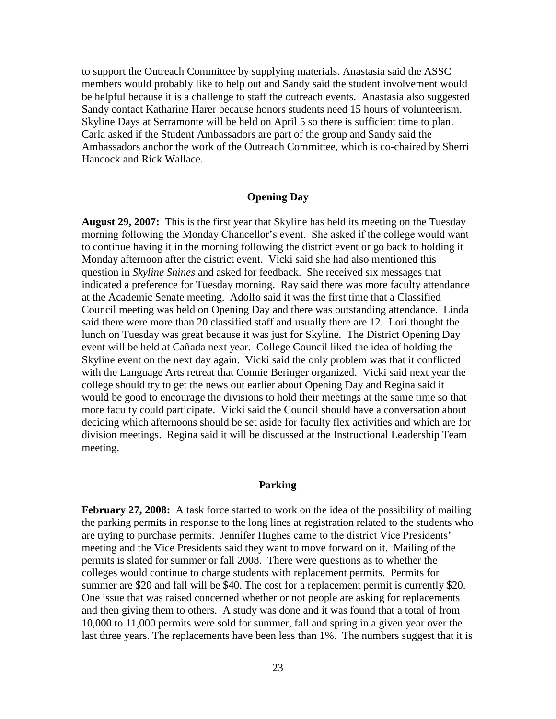to support the Outreach Committee by supplying materials. Anastasia said the ASSC members would probably like to help out and Sandy said the student involvement would be helpful because it is a challenge to staff the outreach events. Anastasia also suggested Sandy contact Katharine Harer because honors students need 15 hours of volunteerism. Skyline Days at Serramonte will be held on April 5 so there is sufficient time to plan. Carla asked if the Student Ambassadors are part of the group and Sandy said the Ambassadors anchor the work of the Outreach Committee, which is co-chaired by Sherri Hancock and Rick Wallace.

### **Opening Day**

**August 29, 2007:** This is the first year that Skyline has held its meeting on the Tuesday morning following the Monday Chancellor's event. She asked if the college would want to continue having it in the morning following the district event or go back to holding it Monday afternoon after the district event. Vicki said she had also mentioned this question in *Skyline Shines* and asked for feedback. She received six messages that indicated a preference for Tuesday morning. Ray said there was more faculty attendance at the Academic Senate meeting. Adolfo said it was the first time that a Classified Council meeting was held on Opening Day and there was outstanding attendance. Linda said there were more than 20 classified staff and usually there are 12. Lori thought the lunch on Tuesday was great because it was just for Skyline. The District Opening Day event will be held at Cañada next year. College Council liked the idea of holding the Skyline event on the next day again. Vicki said the only problem was that it conflicted with the Language Arts retreat that Connie Beringer organized. Vicki said next year the college should try to get the news out earlier about Opening Day and Regina said it would be good to encourage the divisions to hold their meetings at the same time so that more faculty could participate. Vicki said the Council should have a conversation about deciding which afternoons should be set aside for faculty flex activities and which are for division meetings. Regina said it will be discussed at the Instructional Leadership Team meeting.

### **Parking**

**February 27, 2008:** A task force started to work on the idea of the possibility of mailing the parking permits in response to the long lines at registration related to the students who are trying to purchase permits. Jennifer Hughes came to the district Vice Presidents' meeting and the Vice Presidents said they want to move forward on it. Mailing of the permits is slated for summer or fall 2008. There were questions as to whether the colleges would continue to charge students with replacement permits. Permits for summer are \$20 and fall will be \$40. The cost for a replacement permit is currently \$20. One issue that was raised concerned whether or not people are asking for replacements and then giving them to others. A study was done and it was found that a total of from 10,000 to 11,000 permits were sold for summer, fall and spring in a given year over the last three years. The replacements have been less than 1%. The numbers suggest that it is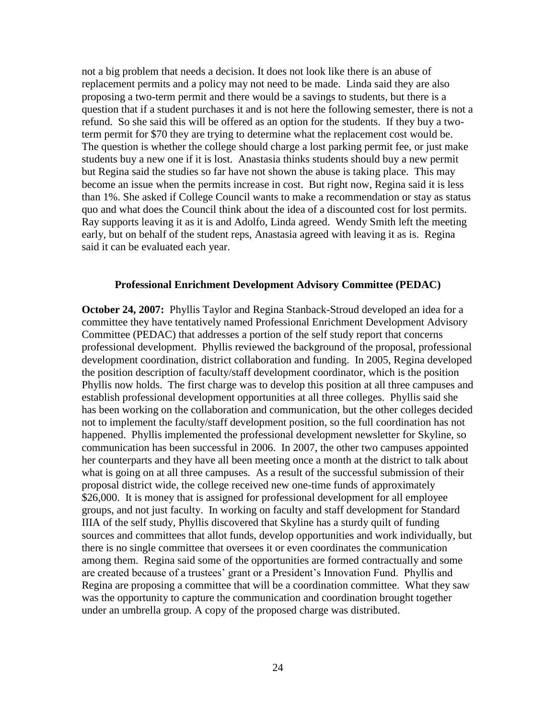not a big problem that needs a decision. It does not look like there is an abuse of replacement permits and a policy may not need to be made. Linda said they are also proposing a two-term permit and there would be a savings to students, but there is a question that if a student purchases it and is not here the following semester, there is not a refund. So she said this will be offered as an option for the students. If they buy a twoterm permit for \$70 they are trying to determine what the replacement cost would be. The question is whether the college should charge a lost parking permit fee, or just make students buy a new one if it is lost. Anastasia thinks students should buy a new permit but Regina said the studies so far have not shown the abuse is taking place. This may become an issue when the permits increase in cost. But right now, Regina said it is less than 1%. She asked if College Council wants to make a recommendation or stay as status quo and what does the Council think about the idea of a discounted cost for lost permits. Ray supports leaving it as it is and Adolfo, Linda agreed. Wendy Smith left the meeting early, but on behalf of the student reps, Anastasia agreed with leaving it as is. Regina said it can be evaluated each year.

### **Professional Enrichment Development Advisory Committee (PEDAC)**

**October 24, 2007:** Phyllis Taylor and Regina Stanback-Stroud developed an idea for a committee they have tentatively named Professional Enrichment Development Advisory Committee (PEDAC) that addresses a portion of the self study report that concerns professional development. Phyllis reviewed the background of the proposal, professional development coordination, district collaboration and funding. In 2005, Regina developed the position description of faculty/staff development coordinator, which is the position Phyllis now holds. The first charge was to develop this position at all three campuses and establish professional development opportunities at all three colleges. Phyllis said she has been working on the collaboration and communication, but the other colleges decided not to implement the faculty/staff development position, so the full coordination has not happened. Phyllis implemented the professional development newsletter for Skyline, so communication has been successful in 2006. In 2007, the other two campuses appointed her counterparts and they have all been meeting once a month at the district to talk about what is going on at all three campuses. As a result of the successful submission of their proposal district wide, the college received new one-time funds of approximately \$26,000. It is money that is assigned for professional development for all employee groups, and not just faculty. In working on faculty and staff development for Standard IIIA of the self study, Phyllis discovered that Skyline has a sturdy quilt of funding sources and committees that allot funds, develop opportunities and work individually, but there is no single committee that oversees it or even coordinates the communication among them. Regina said some of the opportunities are formed contractually and some are created because of a trustees' grant or a President's Innovation Fund. Phyllis and Regina are proposing a committee that will be a coordination committee. What they saw was the opportunity to capture the communication and coordination brought together under an umbrella group. A copy of the proposed charge was distributed.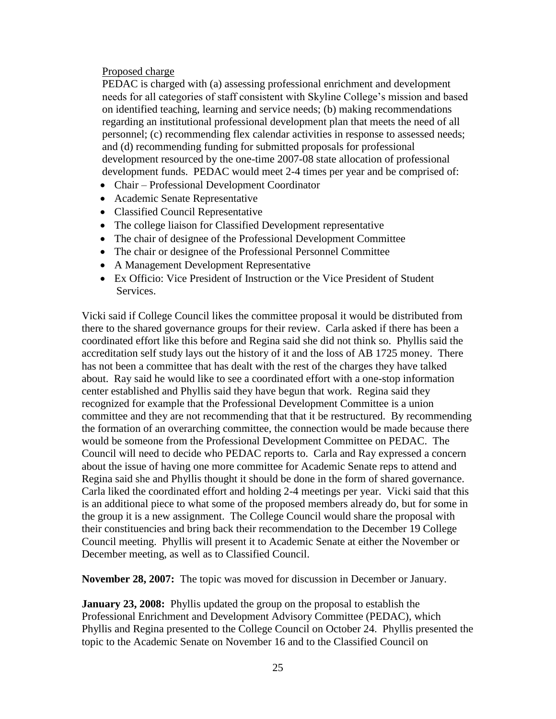# Proposed charge

PEDAC is charged with (a) assessing professional enrichment and development needs for all categories of staff consistent with Skyline College's mission and based on identified teaching, learning and service needs; (b) making recommendations regarding an institutional professional development plan that meets the need of all personnel; (c) recommending flex calendar activities in response to assessed needs; and (d) recommending funding for submitted proposals for professional development resourced by the one-time 2007-08 state allocation of professional development funds. PEDAC would meet 2-4 times per year and be comprised of:

- Chair Professional Development Coordinator
- Academic Senate Representative
- Classified Council Representative
- The college liaison for Classified Development representative
- The chair of designee of the Professional Development Committee
- The chair or designee of the Professional Personnel Committee
- A Management Development Representative
- Ex Officio: Vice President of Instruction or the Vice President of Student Services.

Vicki said if College Council likes the committee proposal it would be distributed from there to the shared governance groups for their review. Carla asked if there has been a coordinated effort like this before and Regina said she did not think so. Phyllis said the accreditation self study lays out the history of it and the loss of AB 1725 money. There has not been a committee that has dealt with the rest of the charges they have talked about. Ray said he would like to see a coordinated effort with a one-stop information center established and Phyllis said they have begun that work. Regina said they recognized for example that the Professional Development Committee is a union committee and they are not recommending that that it be restructured. By recommending the formation of an overarching committee, the connection would be made because there would be someone from the Professional Development Committee on PEDAC. The Council will need to decide who PEDAC reports to. Carla and Ray expressed a concern about the issue of having one more committee for Academic Senate reps to attend and Regina said she and Phyllis thought it should be done in the form of shared governance. Carla liked the coordinated effort and holding 2-4 meetings per year. Vicki said that this is an additional piece to what some of the proposed members already do, but for some in the group it is a new assignment. The College Council would share the proposal with their constituencies and bring back their recommendation to the December 19 College Council meeting. Phyllis will present it to Academic Senate at either the November or December meeting, as well as to Classified Council.

**November 28, 2007:** The topic was moved for discussion in December or January.

**January 23, 2008:** Phyllis updated the group on the proposal to establish the Professional Enrichment and Development Advisory Committee (PEDAC), which Phyllis and Regina presented to the College Council on October 24. Phyllis presented the topic to the Academic Senate on November 16 and to the Classified Council on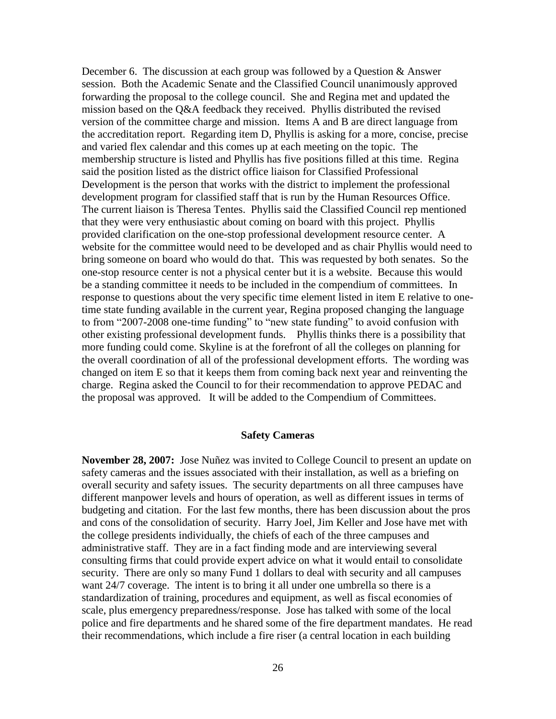December 6. The discussion at each group was followed by a Question & Answer session. Both the Academic Senate and the Classified Council unanimously approved forwarding the proposal to the college council. She and Regina met and updated the mission based on the Q&A feedback they received. Phyllis distributed the revised version of the committee charge and mission. Items A and B are direct language from the accreditation report. Regarding item D, Phyllis is asking for a more, concise, precise and varied flex calendar and this comes up at each meeting on the topic. The membership structure is listed and Phyllis has five positions filled at this time. Regina said the position listed as the district office liaison for Classified Professional Development is the person that works with the district to implement the professional development program for classified staff that is run by the Human Resources Office. The current liaison is Theresa Tentes. Phyllis said the Classified Council rep mentioned that they were very enthusiastic about coming on board with this project. Phyllis provided clarification on the one-stop professional development resource center. A website for the committee would need to be developed and as chair Phyllis would need to bring someone on board who would do that. This was requested by both senates. So the one-stop resource center is not a physical center but it is a website. Because this would be a standing committee it needs to be included in the compendium of committees. In response to questions about the very specific time element listed in item E relative to onetime state funding available in the current year, Regina proposed changing the language to from "2007-2008 one-time funding" to "new state funding" to avoid confusion with other existing professional development funds. Phyllis thinks there is a possibility that more funding could come. Skyline is at the forefront of all the colleges on planning for the overall coordination of all of the professional development efforts. The wording was changed on item E so that it keeps them from coming back next year and reinventing the charge. Regina asked the Council to for their recommendation to approve PEDAC and the proposal was approved. It will be added to the Compendium of Committees.

#### **Safety Cameras**

**November 28, 2007:** Jose Nuñez was invited to College Council to present an update on safety cameras and the issues associated with their installation, as well as a briefing on overall security and safety issues. The security departments on all three campuses have different manpower levels and hours of operation, as well as different issues in terms of budgeting and citation. For the last few months, there has been discussion about the pros and cons of the consolidation of security. Harry Joel, Jim Keller and Jose have met with the college presidents individually, the chiefs of each of the three campuses and administrative staff. They are in a fact finding mode and are interviewing several consulting firms that could provide expert advice on what it would entail to consolidate security. There are only so many Fund 1 dollars to deal with security and all campuses want 24/7 coverage. The intent is to bring it all under one umbrella so there is a standardization of training, procedures and equipment, as well as fiscal economies of scale, plus emergency preparedness/response. Jose has talked with some of the local police and fire departments and he shared some of the fire department mandates. He read their recommendations, which include a fire riser (a central location in each building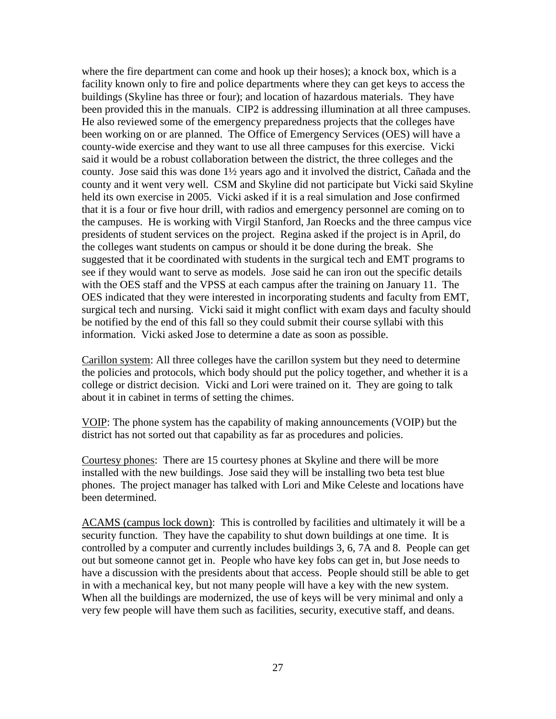where the fire department can come and hook up their hoses); a knock box, which is a facility known only to fire and police departments where they can get keys to access the buildings (Skyline has three or four); and location of hazardous materials. They have been provided this in the manuals. CIP2 is addressing illumination at all three campuses. He also reviewed some of the emergency preparedness projects that the colleges have been working on or are planned. The Office of Emergency Services (OES) will have a county-wide exercise and they want to use all three campuses for this exercise. Vicki said it would be a robust collaboration between the district, the three colleges and the county. Jose said this was done 1½ years ago and it involved the district, Cañada and the county and it went very well. CSM and Skyline did not participate but Vicki said Skyline held its own exercise in 2005. Vicki asked if it is a real simulation and Jose confirmed that it is a four or five hour drill, with radios and emergency personnel are coming on to the campuses. He is working with Virgil Stanford, Jan Roecks and the three campus vice presidents of student services on the project. Regina asked if the project is in April, do the colleges want students on campus or should it be done during the break. She suggested that it be coordinated with students in the surgical tech and EMT programs to see if they would want to serve as models. Jose said he can iron out the specific details with the OES staff and the VPSS at each campus after the training on January 11. The OES indicated that they were interested in incorporating students and faculty from EMT, surgical tech and nursing. Vicki said it might conflict with exam days and faculty should be notified by the end of this fall so they could submit their course syllabi with this information. Vicki asked Jose to determine a date as soon as possible.

Carillon system: All three colleges have the carillon system but they need to determine the policies and protocols, which body should put the policy together, and whether it is a college or district decision. Vicki and Lori were trained on it. They are going to talk about it in cabinet in terms of setting the chimes.

VOIP: The phone system has the capability of making announcements (VOIP) but the district has not sorted out that capability as far as procedures and policies.

Courtesy phones: There are 15 courtesy phones at Skyline and there will be more installed with the new buildings. Jose said they will be installing two beta test blue phones. The project manager has talked with Lori and Mike Celeste and locations have been determined.

ACAMS (campus lock down): This is controlled by facilities and ultimately it will be a security function. They have the capability to shut down buildings at one time. It is controlled by a computer and currently includes buildings 3, 6, 7A and 8. People can get out but someone cannot get in. People who have key fobs can get in, but Jose needs to have a discussion with the presidents about that access. People should still be able to get in with a mechanical key, but not many people will have a key with the new system. When all the buildings are modernized, the use of keys will be very minimal and only a very few people will have them such as facilities, security, executive staff, and deans.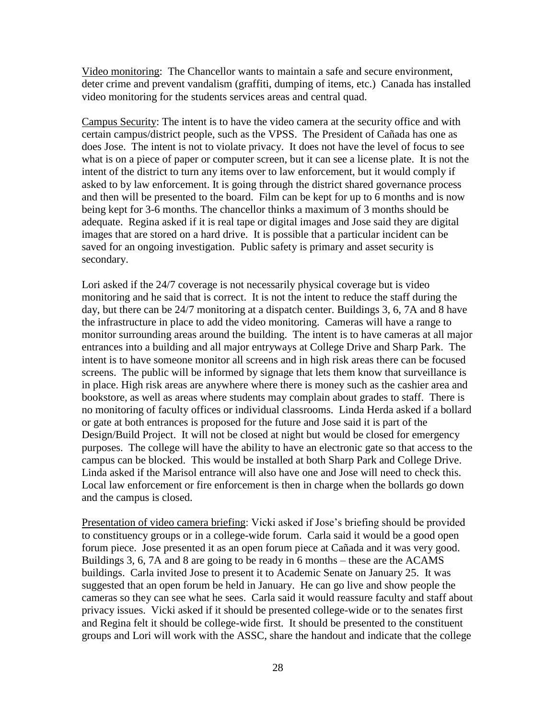Video monitoring: The Chancellor wants to maintain a safe and secure environment, deter crime and prevent vandalism (graffiti, dumping of items, etc.) Canada has installed video monitoring for the students services areas and central quad.

Campus Security: The intent is to have the video camera at the security office and with certain campus/district people, such as the VPSS. The President of Cañada has one as does Jose. The intent is not to violate privacy. It does not have the level of focus to see what is on a piece of paper or computer screen, but it can see a license plate. It is not the intent of the district to turn any items over to law enforcement, but it would comply if asked to by law enforcement. It is going through the district shared governance process and then will be presented to the board. Film can be kept for up to 6 months and is now being kept for 3-6 months. The chancellor thinks a maximum of 3 months should be adequate. Regina asked if it is real tape or digital images and Jose said they are digital images that are stored on a hard drive. It is possible that a particular incident can be saved for an ongoing investigation. Public safety is primary and asset security is secondary.

Lori asked if the 24/7 coverage is not necessarily physical coverage but is video monitoring and he said that is correct. It is not the intent to reduce the staff during the day, but there can be 24/7 monitoring at a dispatch center. Buildings 3, 6, 7A and 8 have the infrastructure in place to add the video monitoring. Cameras will have a range to monitor surrounding areas around the building. The intent is to have cameras at all major entrances into a building and all major entryways at College Drive and Sharp Park. The intent is to have someone monitor all screens and in high risk areas there can be focused screens. The public will be informed by signage that lets them know that surveillance is in place. High risk areas are anywhere where there is money such as the cashier area and bookstore, as well as areas where students may complain about grades to staff. There is no monitoring of faculty offices or individual classrooms. Linda Herda asked if a bollard or gate at both entrances is proposed for the future and Jose said it is part of the Design/Build Project. It will not be closed at night but would be closed for emergency purposes. The college will have the ability to have an electronic gate so that access to the campus can be blocked. This would be installed at both Sharp Park and College Drive. Linda asked if the Marisol entrance will also have one and Jose will need to check this. Local law enforcement or fire enforcement is then in charge when the bollards go down and the campus is closed.

Presentation of video camera briefing: Vicki asked if Jose's briefing should be provided to constituency groups or in a college-wide forum. Carla said it would be a good open forum piece. Jose presented it as an open forum piece at Cañada and it was very good. Buildings 3, 6, 7A and 8 are going to be ready in 6 months – these are the ACAMS buildings. Carla invited Jose to present it to Academic Senate on January 25. It was suggested that an open forum be held in January. He can go live and show people the cameras so they can see what he sees. Carla said it would reassure faculty and staff about privacy issues. Vicki asked if it should be presented college-wide or to the senates first and Regina felt it should be college-wide first. It should be presented to the constituent groups and Lori will work with the ASSC, share the handout and indicate that the college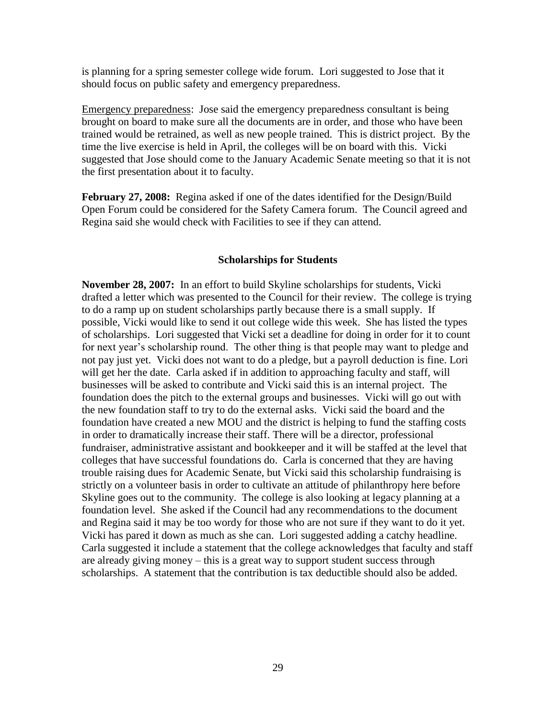is planning for a spring semester college wide forum. Lori suggested to Jose that it should focus on public safety and emergency preparedness.

Emergency preparedness: Jose said the emergency preparedness consultant is being brought on board to make sure all the documents are in order, and those who have been trained would be retrained, as well as new people trained. This is district project. By the time the live exercise is held in April, the colleges will be on board with this. Vicki suggested that Jose should come to the January Academic Senate meeting so that it is not the first presentation about it to faculty.

**February 27, 2008:** Regina asked if one of the dates identified for the Design/Build Open Forum could be considered for the Safety Camera forum. The Council agreed and Regina said she would check with Facilities to see if they can attend.

### **Scholarships for Students**

**November 28, 2007:** In an effort to build Skyline scholarships for students, Vicki drafted a letter which was presented to the Council for their review. The college is trying to do a ramp up on student scholarships partly because there is a small supply. If possible, Vicki would like to send it out college wide this week. She has listed the types of scholarships. Lori suggested that Vicki set a deadline for doing in order for it to count for next year's scholarship round. The other thing is that people may want to pledge and not pay just yet. Vicki does not want to do a pledge, but a payroll deduction is fine. Lori will get her the date. Carla asked if in addition to approaching faculty and staff, will businesses will be asked to contribute and Vicki said this is an internal project. The foundation does the pitch to the external groups and businesses. Vicki will go out with the new foundation staff to try to do the external asks. Vicki said the board and the foundation have created a new MOU and the district is helping to fund the staffing costs in order to dramatically increase their staff. There will be a director, professional fundraiser, administrative assistant and bookkeeper and it will be staffed at the level that colleges that have successful foundations do. Carla is concerned that they are having trouble raising dues for Academic Senate, but Vicki said this scholarship fundraising is strictly on a volunteer basis in order to cultivate an attitude of philanthropy here before Skyline goes out to the community. The college is also looking at legacy planning at a foundation level. She asked if the Council had any recommendations to the document and Regina said it may be too wordy for those who are not sure if they want to do it yet. Vicki has pared it down as much as she can. Lori suggested adding a catchy headline. Carla suggested it include a statement that the college acknowledges that faculty and staff are already giving money – this is a great way to support student success through scholarships. A statement that the contribution is tax deductible should also be added.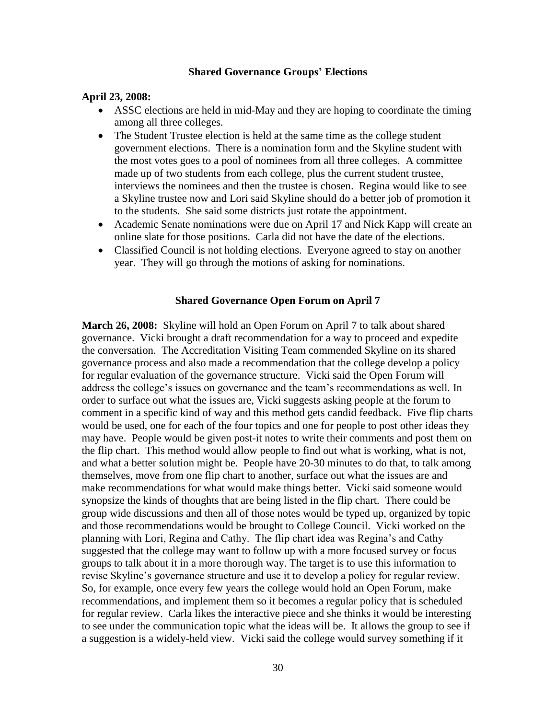### **Shared Governance Groups' Elections**

# **April 23, 2008:**

- ASSC elections are held in mid-May and they are hoping to coordinate the timing among all three colleges.
- The Student Trustee election is held at the same time as the college student government elections. There is a nomination form and the Skyline student with the most votes goes to a pool of nominees from all three colleges. A committee made up of two students from each college, plus the current student trustee, interviews the nominees and then the trustee is chosen. Regina would like to see a Skyline trustee now and Lori said Skyline should do a better job of promotion it to the students. She said some districts just rotate the appointment.
- Academic Senate nominations were due on April 17 and Nick Kapp will create an online slate for those positions. Carla did not have the date of the elections.
- Classified Council is not holding elections. Everyone agreed to stay on another year. They will go through the motions of asking for nominations.

### **Shared Governance Open Forum on April 7**

**March 26, 2008:** Skyline will hold an Open Forum on April 7 to talk about shared governance. Vicki brought a draft recommendation for a way to proceed and expedite the conversation. The Accreditation Visiting Team commended Skyline on its shared governance process and also made a recommendation that the college develop a policy for regular evaluation of the governance structure. Vicki said the Open Forum will address the college's issues on governance and the team's recommendations as well. In order to surface out what the issues are, Vicki suggests asking people at the forum to comment in a specific kind of way and this method gets candid feedback. Five flip charts would be used, one for each of the four topics and one for people to post other ideas they may have. People would be given post-it notes to write their comments and post them on the flip chart. This method would allow people to find out what is working, what is not, and what a better solution might be. People have 20-30 minutes to do that, to talk among themselves, move from one flip chart to another, surface out what the issues are and make recommendations for what would make things better. Vicki said someone would synopsize the kinds of thoughts that are being listed in the flip chart. There could be group wide discussions and then all of those notes would be typed up, organized by topic and those recommendations would be brought to College Council. Vicki worked on the planning with Lori, Regina and Cathy. The flip chart idea was Regina's and Cathy suggested that the college may want to follow up with a more focused survey or focus groups to talk about it in a more thorough way. The target is to use this information to revise Skyline's governance structure and use it to develop a policy for regular review. So, for example, once every few years the college would hold an Open Forum, make recommendations, and implement them so it becomes a regular policy that is scheduled for regular review. Carla likes the interactive piece and she thinks it would be interesting to see under the communication topic what the ideas will be. It allows the group to see if a suggestion is a widely-held view. Vicki said the college would survey something if it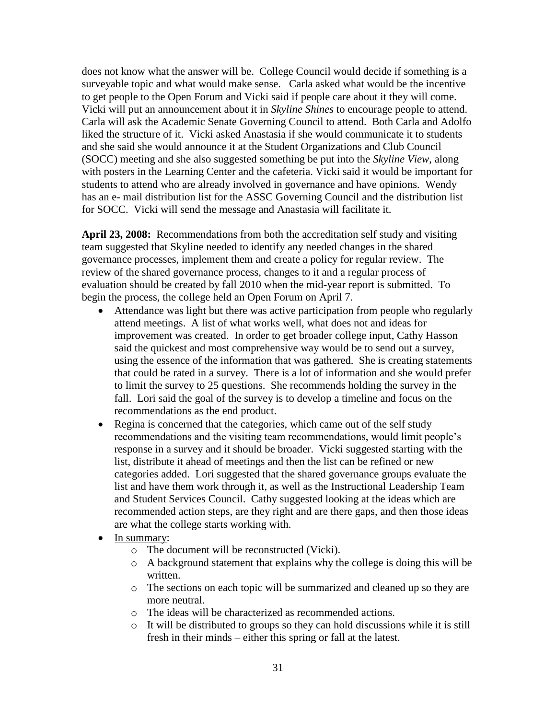does not know what the answer will be. College Council would decide if something is a surveyable topic and what would make sense. Carla asked what would be the incentive to get people to the Open Forum and Vicki said if people care about it they will come. Vicki will put an announcement about it in *Skyline Shines* to encourage people to attend. Carla will ask the Academic Senate Governing Council to attend. Both Carla and Adolfo liked the structure of it. Vicki asked Anastasia if she would communicate it to students and she said she would announce it at the Student Organizations and Club Council (SOCC) meeting and she also suggested something be put into the *Skyline View*, along with posters in the Learning Center and the cafeteria. Vicki said it would be important for students to attend who are already involved in governance and have opinions. Wendy has an e- mail distribution list for the ASSC Governing Council and the distribution list for SOCC. Vicki will send the message and Anastasia will facilitate it.

**April 23, 2008:** Recommendations from both the accreditation self study and visiting team suggested that Skyline needed to identify any needed changes in the shared governance processes, implement them and create a policy for regular review. The review of the shared governance process, changes to it and a regular process of evaluation should be created by fall 2010 when the mid-year report is submitted. To begin the process, the college held an Open Forum on April 7.

- Attendance was light but there was active participation from people who regularly attend meetings. A list of what works well, what does not and ideas for improvement was created. In order to get broader college input, Cathy Hasson said the quickest and most comprehensive way would be to send out a survey, using the essence of the information that was gathered. She is creating statements that could be rated in a survey. There is a lot of information and she would prefer to limit the survey to 25 questions. She recommends holding the survey in the fall. Lori said the goal of the survey is to develop a timeline and focus on the recommendations as the end product.
- Regina is concerned that the categories, which came out of the self study recommendations and the visiting team recommendations, would limit people's response in a survey and it should be broader. Vicki suggested starting with the list, distribute it ahead of meetings and then the list can be refined or new categories added. Lori suggested that the shared governance groups evaluate the list and have them work through it, as well as the Instructional Leadership Team and Student Services Council. Cathy suggested looking at the ideas which are recommended action steps, are they right and are there gaps, and then those ideas are what the college starts working with.
- In summary:
	- o The document will be reconstructed (Vicki).
	- o A background statement that explains why the college is doing this will be written.
	- o The sections on each topic will be summarized and cleaned up so they are more neutral.
	- o The ideas will be characterized as recommended actions.
	- o It will be distributed to groups so they can hold discussions while it is still fresh in their minds – either this spring or fall at the latest.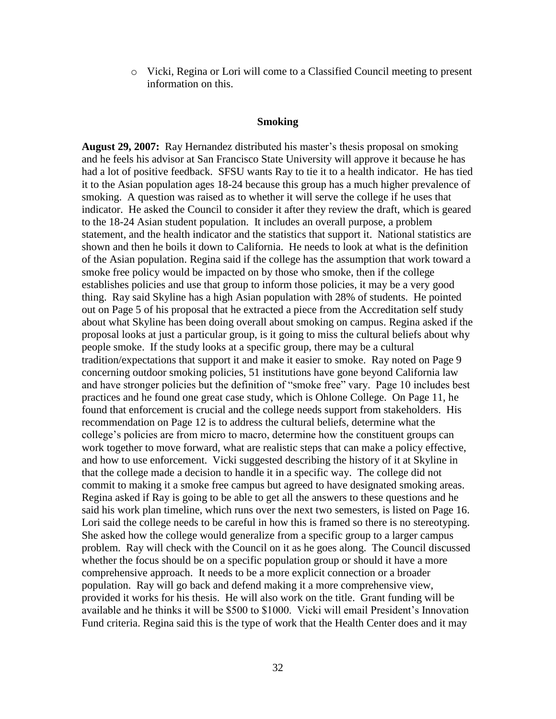o Vicki, Regina or Lori will come to a Classified Council meeting to present information on this.

### **Smoking**

**August 29, 2007:** Ray Hernandez distributed his master's thesis proposal on smoking and he feels his advisor at San Francisco State University will approve it because he has had a lot of positive feedback. SFSU wants Ray to tie it to a health indicator. He has tied it to the Asian population ages 18-24 because this group has a much higher prevalence of smoking. A question was raised as to whether it will serve the college if he uses that indicator. He asked the Council to consider it after they review the draft, which is geared to the 18-24 Asian student population. It includes an overall purpose, a problem statement, and the health indicator and the statistics that support it. National statistics are shown and then he boils it down to California. He needs to look at what is the definition of the Asian population. Regina said if the college has the assumption that work toward a smoke free policy would be impacted on by those who smoke, then if the college establishes policies and use that group to inform those policies, it may be a very good thing. Ray said Skyline has a high Asian population with 28% of students. He pointed out on Page 5 of his proposal that he extracted a piece from the Accreditation self study about what Skyline has been doing overall about smoking on campus. Regina asked if the proposal looks at just a particular group, is it going to miss the cultural beliefs about why people smoke. If the study looks at a specific group, there may be a cultural tradition/expectations that support it and make it easier to smoke. Ray noted on Page 9 concerning outdoor smoking policies, 51 institutions have gone beyond California law and have stronger policies but the definition of "smoke free" vary. Page 10 includes best practices and he found one great case study, which is Ohlone College. On Page 11, he found that enforcement is crucial and the college needs support from stakeholders. His recommendation on Page 12 is to address the cultural beliefs, determine what the college's policies are from micro to macro, determine how the constituent groups can work together to move forward, what are realistic steps that can make a policy effective, and how to use enforcement. Vicki suggested describing the history of it at Skyline in that the college made a decision to handle it in a specific way. The college did not commit to making it a smoke free campus but agreed to have designated smoking areas. Regina asked if Ray is going to be able to get all the answers to these questions and he said his work plan timeline, which runs over the next two semesters, is listed on Page 16. Lori said the college needs to be careful in how this is framed so there is no stereotyping. She asked how the college would generalize from a specific group to a larger campus problem. Ray will check with the Council on it as he goes along. The Council discussed whether the focus should be on a specific population group or should it have a more comprehensive approach. It needs to be a more explicit connection or a broader population. Ray will go back and defend making it a more comprehensive view, provided it works for his thesis. He will also work on the title. Grant funding will be available and he thinks it will be \$500 to \$1000. Vicki will email President's Innovation Fund criteria. Regina said this is the type of work that the Health Center does and it may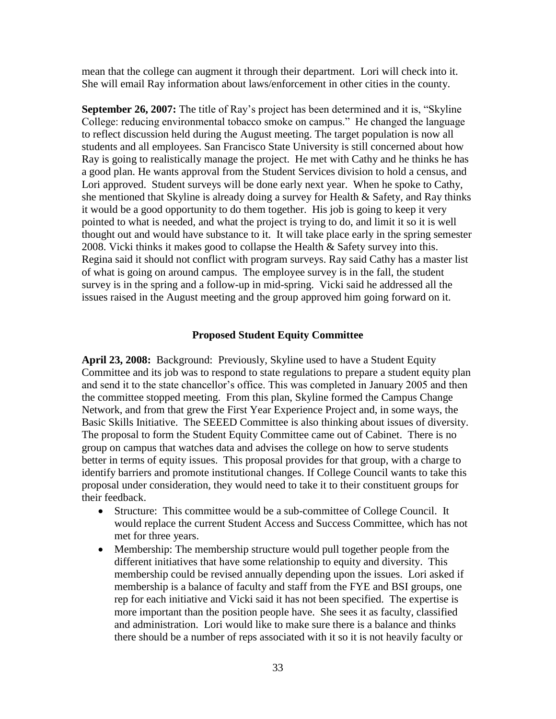mean that the college can augment it through their department. Lori will check into it. She will email Ray information about laws/enforcement in other cities in the county.

**September 26, 2007:** The title of Ray's project has been determined and it is, "Skyline" College: reducing environmental tobacco smoke on campus." He changed the language to reflect discussion held during the August meeting. The target population is now all students and all employees. San Francisco State University is still concerned about how Ray is going to realistically manage the project. He met with Cathy and he thinks he has a good plan. He wants approval from the Student Services division to hold a census, and Lori approved. Student surveys will be done early next year. When he spoke to Cathy, she mentioned that Skyline is already doing a survey for Health & Safety, and Ray thinks it would be a good opportunity to do them together. His job is going to keep it very pointed to what is needed, and what the project is trying to do, and limit it so it is well thought out and would have substance to it. It will take place early in the spring semester 2008. Vicki thinks it makes good to collapse the Health & Safety survey into this. Regina said it should not conflict with program surveys. Ray said Cathy has a master list of what is going on around campus. The employee survey is in the fall, the student survey is in the spring and a follow-up in mid-spring. Vicki said he addressed all the issues raised in the August meeting and the group approved him going forward on it.

#### **Proposed Student Equity Committee**

**April 23, 2008:** Background: Previously, Skyline used to have a Student Equity Committee and its job was to respond to state regulations to prepare a student equity plan and send it to the state chancellor's office. This was completed in January 2005 and then the committee stopped meeting. From this plan, Skyline formed the Campus Change Network, and from that grew the First Year Experience Project and, in some ways, the Basic Skills Initiative. The SEEED Committee is also thinking about issues of diversity. The proposal to form the Student Equity Committee came out of Cabinet. There is no group on campus that watches data and advises the college on how to serve students better in terms of equity issues. This proposal provides for that group, with a charge to identify barriers and promote institutional changes. If College Council wants to take this proposal under consideration, they would need to take it to their constituent groups for their feedback.

- Structure: This committee would be a sub-committee of College Council. It would replace the current Student Access and Success Committee, which has not met for three years.
- Membership: The membership structure would pull together people from the different initiatives that have some relationship to equity and diversity. This membership could be revised annually depending upon the issues. Lori asked if membership is a balance of faculty and staff from the FYE and BSI groups, one rep for each initiative and Vicki said it has not been specified. The expertise is more important than the position people have. She sees it as faculty, classified and administration. Lori would like to make sure there is a balance and thinks there should be a number of reps associated with it so it is not heavily faculty or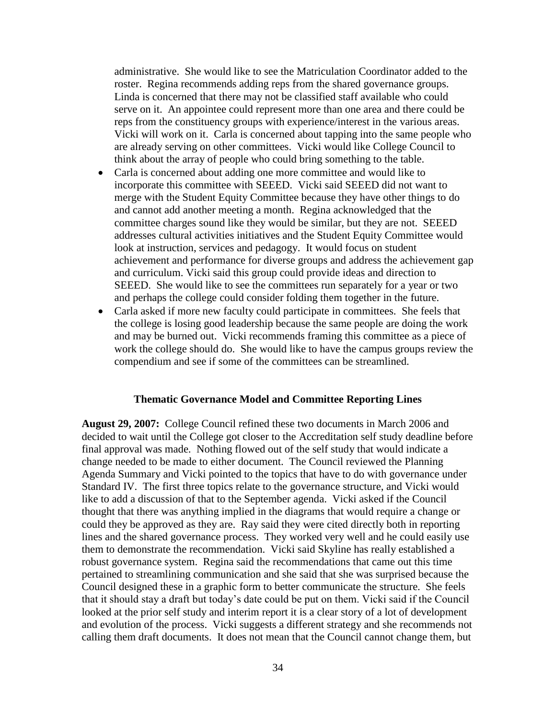administrative. She would like to see the Matriculation Coordinator added to the roster. Regina recommends adding reps from the shared governance groups. Linda is concerned that there may not be classified staff available who could serve on it. An appointee could represent more than one area and there could be reps from the constituency groups with experience/interest in the various areas. Vicki will work on it. Carla is concerned about tapping into the same people who are already serving on other committees. Vicki would like College Council to think about the array of people who could bring something to the table.

- Carla is concerned about adding one more committee and would like to incorporate this committee with SEEED. Vicki said SEEED did not want to merge with the Student Equity Committee because they have other things to do and cannot add another meeting a month. Regina acknowledged that the committee charges sound like they would be similar, but they are not. SEEED addresses cultural activities initiatives and the Student Equity Committee would look at instruction, services and pedagogy. It would focus on student achievement and performance for diverse groups and address the achievement gap and curriculum. Vicki said this group could provide ideas and direction to SEEED. She would like to see the committees run separately for a year or two and perhaps the college could consider folding them together in the future.
- Carla asked if more new faculty could participate in committees. She feels that the college is losing good leadership because the same people are doing the work and may be burned out. Vicki recommends framing this committee as a piece of work the college should do. She would like to have the campus groups review the compendium and see if some of the committees can be streamlined.

### **Thematic Governance Model and Committee Reporting Lines**

**August 29, 2007:** College Council refined these two documents in March 2006 and decided to wait until the College got closer to the Accreditation self study deadline before final approval was made. Nothing flowed out of the self study that would indicate a change needed to be made to either document. The Council reviewed the Planning Agenda Summary and Vicki pointed to the topics that have to do with governance under Standard IV. The first three topics relate to the governance structure, and Vicki would like to add a discussion of that to the September agenda. Vicki asked if the Council thought that there was anything implied in the diagrams that would require a change or could they be approved as they are. Ray said they were cited directly both in reporting lines and the shared governance process. They worked very well and he could easily use them to demonstrate the recommendation. Vicki said Skyline has really established a robust governance system. Regina said the recommendations that came out this time pertained to streamlining communication and she said that she was surprised because the Council designed these in a graphic form to better communicate the structure. She feels that it should stay a draft but today's date could be put on them. Vicki said if the Council looked at the prior self study and interim report it is a clear story of a lot of development and evolution of the process. Vicki suggests a different strategy and she recommends not calling them draft documents. It does not mean that the Council cannot change them, but